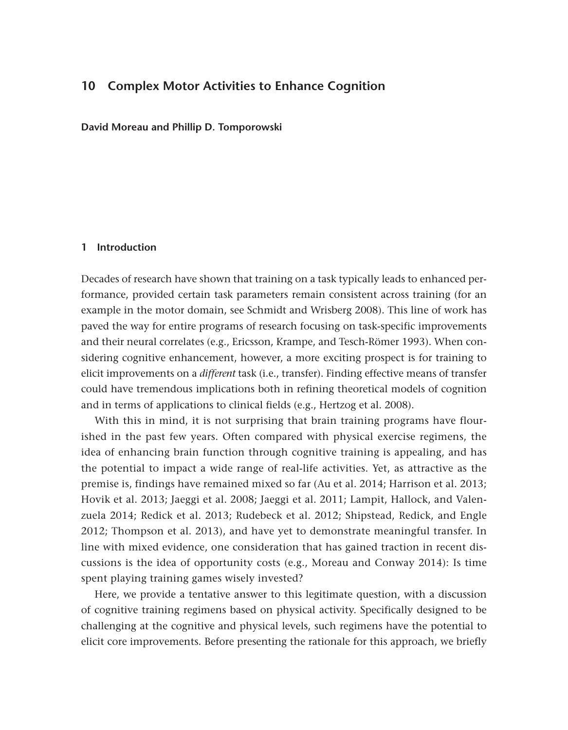# **10 Complex Motor Activities to Enhance Cognition**

**David Moreau and Phillip D. Tomporowski**

## **1 Introduction**

Decades of research have shown that training on a task typically leads to enhanced performance, provided certain task parameters remain consistent across training (for an example in the motor domain, see Schmidt and Wrisberg 2008). This line of work has paved the way for entire programs of research focusing on task-specific improvements and their neural correlates (e.g., Ericsson, Krampe, and Tesch-Römer 1993). When considering cognitive enhancement, however, a more exciting prospect is for training to elicit improvements on a *different* task (i.e., transfer). Finding effective means of transfer could have tremendous implications both in refining theoretical models of cognition and in terms of applications to clinical fields (e.g., Hertzog et al. 2008).

With this in mind, it is not surprising that brain training programs have flourished in the past few years. Often compared with physical exercise regimens, the idea of enhancing brain function through cognitive training is appealing, and has the potential to impact a wide range of real-life activities. Yet, as attractive as the premise is, findings have remained mixed so far (Au et al. 2014; Harrison et al. 2013; Hovik et al. 2013; Jaeggi et al. 2008; Jaeggi et al. 2011; Lampit, Hallock, and Valenzuela 2014; Redick et al. 2013; Rudebeck et al. 2012; Shipstead, Redick, and Engle 2012; Thompson et al. 2013), and have yet to demonstrate meaningful transfer. In line with mixed evidence, one consideration that has gained traction in recent discussions is the idea of opportunity costs (e.g., Moreau and Conway 2014): Is time spent playing training games wisely invested?

Here, we provide a tentative answer to this legitimate question, with a discussion of cognitive training regimens based on physical activity. Specifically designed to be challenging at the cognitive and physical levels, such regimens have the potential to elicit core improvements. Before presenting the rationale for this approach, we briefly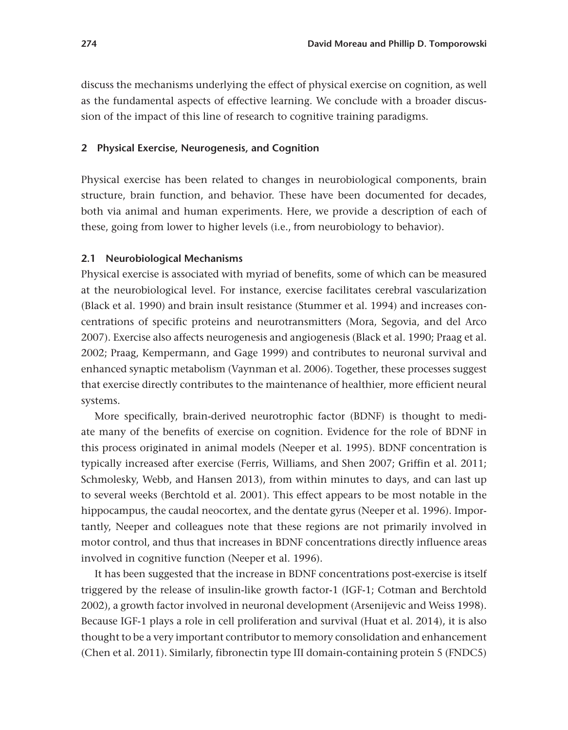discuss the mechanisms underlying the effect of physical exercise on cognition, as well as the fundamental aspects of effective learning. We conclude with a broader discussion of the impact of this line of research to cognitive training paradigms.

## **2 Physical Exercise, Neurogenesis, and Cognition**

Physical exercise has been related to changes in neurobiological components, brain structure, brain function, and behavior. These have been documented for decades, both via animal and human experiments. Here, we provide a description of each of these, going from lower to higher levels (i.e., from neurobiology to behavior).

## **2.1 Neurobiological Mechanisms**

Physical exercise is associated with myriad of benefits, some of which can be measured at the neurobiological level. For instance, exercise facilitates cerebral vascularization (Black et al. 1990) and brain insult resistance (Stummer et al. 1994) and increases concentrations of specific proteins and neurotransmitters (Mora, Segovia, and del Arco 2007). Exercise also affects neurogenesis and angiogenesis (Black et al. 1990; Praag et al. 2002; Praag, Kempermann, and Gage 1999) and contributes to neuronal survival and enhanced synaptic metabolism (Vaynman et al. 2006). Together, these processes suggest that exercise directly contributes to the maintenance of healthier, more efficient neural systems.

More specifically, brain-derived neurotrophic factor (BDNF) is thought to mediate many of the benefits of exercise on cognition. Evidence for the role of BDNF in this process originated in animal models (Neeper et al. 1995). BDNF concentration is typically increased after exercise (Ferris, Williams, and Shen 2007; Griffin et al. 2011; Schmolesky, Webb, and Hansen 2013), from within minutes to days, and can last up to several weeks (Berchtold et al. 2001). This effect appears to be most notable in the hippocampus, the caudal neocortex, and the dentate gyrus (Neeper et al. 1996). Importantly, Neeper and colleagues note that these regions are not primarily involved in motor control, and thus that increases in BDNF concentrations directly influence areas involved in cognitive function (Neeper et al. 1996).

It has been suggested that the increase in BDNF concentrations post-exercise is itself triggered by the release of insulin-like growth factor-1 (IGF-1; Cotman and Berchtold 2002), a growth factor involved in neuronal development (Arsenijevic and Weiss 1998). Because IGF-1 plays a role in cell proliferation and survival (Huat et al. 2014), it is also thought to be a very important contributor to memory consolidation and enhancement (Chen et al. 2011). Similarly, fibronectin type III domain-containing protein 5 (FNDC5)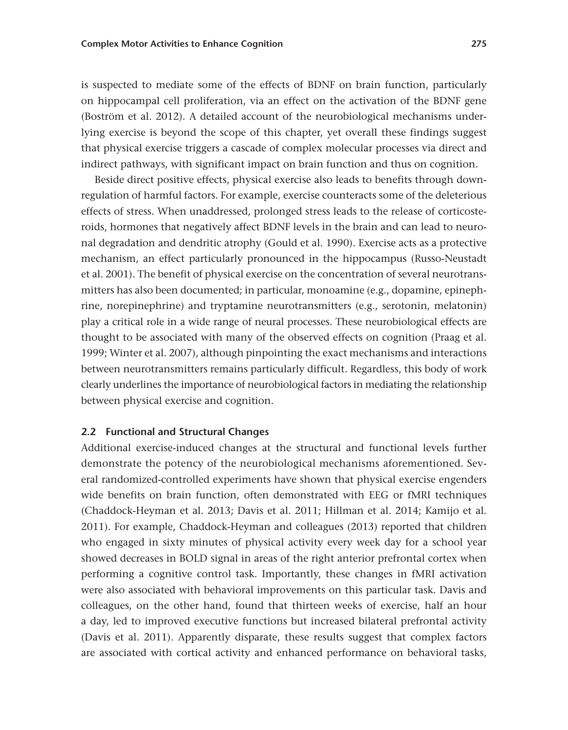is suspected to mediate some of the effects of BDNF on brain function, particularly on hippocampal cell proliferation, via an effect on the activation of the BDNF gene (Boström et al. 2012). A detailed account of the neurobiological mechanisms underlying exercise is beyond the scope of this chapter, yet overall these findings suggest that physical exercise triggers a cascade of complex molecular processes via direct and indirect pathways, with significant impact on brain function and thus on cognition.

Beside direct positive effects, physical exercise also leads to benefits through downregulation of harmful factors. For example, exercise counteracts some of the deleterious effects of stress. When unaddressed, prolonged stress leads to the release of corticosteroids, hormones that negatively affect BDNF levels in the brain and can lead to neuronal degradation and dendritic atrophy (Gould et al. 1990). Exercise acts as a protective mechanism, an effect particularly pronounced in the hippocampus (Russo-Neustadt et al. 2001). The benefit of physical exercise on the concentration of several neurotransmitters has also been documented; in particular, monoamine (e.g., dopamine, epinephrine, norepinephrine) and tryptamine neurotransmitters (e.g., serotonin, melatonin) play a critical role in a wide range of neural processes. These neurobiological effects are thought to be associated with many of the observed effects on cognition (Praag et al. 1999; Winter et al. 2007), although pinpointing the exact mechanisms and interactions between neurotransmitters remains particularly difficult. Regardless, this body of work clearly underlines the importance of neurobiological factors in mediating the relationship between physical exercise and cognition.

## **2.2 Functional and Structural Changes**

Additional exercise-induced changes at the structural and functional levels further demonstrate the potency of the neurobiological mechanisms aforementioned. Several randomized-controlled experiments have shown that physical exercise engenders wide benefits on brain function, often demonstrated with EEG or fMRI techniques (Chaddock-Heyman et al. 2013; Davis et al. 2011; Hillman et al. 2014; Kamijo et al. 2011). For example, Chaddock-Heyman and colleagues (2013) reported that children who engaged in sixty minutes of physical activity every week day for a school year showed decreases in BOLD signal in areas of the right anterior prefrontal cortex when performing a cognitive control task. Importantly, these changes in fMRI activation were also associated with behavioral improvements on this particular task. Davis and colleagues, on the other hand, found that thirteen weeks of exercise, half an hour a day, led to improved executive functions but increased bilateral prefrontal activity (Davis et al. 2011). Apparently disparate, these results suggest that complex factors are associated with cortical activity and enhanced performance on behavioral tasks,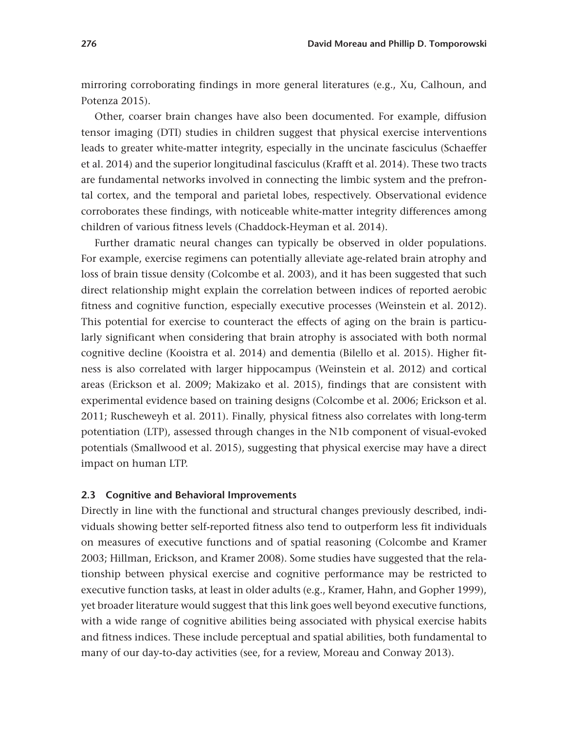mirroring corroborating findings in more general literatures (e.g., Xu, Calhoun, and Potenza 2015).

Other, coarser brain changes have also been documented. For example, diffusion tensor imaging (DTI) studies in children suggest that physical exercise interventions leads to greater white-matter integrity, especially in the uncinate fasciculus (Schaeffer et al. 2014) and the superior longitudinal fasciculus (Krafft et al. 2014). These two tracts are fundamental networks involved in connecting the limbic system and the prefrontal cortex, and the temporal and parietal lobes, respectively. Observational evidence corroborates these findings, with noticeable white-matter integrity differences among children of various fitness levels (Chaddock-Heyman et al. 2014).

Further dramatic neural changes can typically be observed in older populations. For example, exercise regimens can potentially alleviate age-related brain atrophy and loss of brain tissue density (Colcombe et al. 2003), and it has been suggested that such direct relationship might explain the correlation between indices of reported aerobic fitness and cognitive function, especially executive processes (Weinstein et al. 2012). This potential for exercise to counteract the effects of aging on the brain is particularly significant when considering that brain atrophy is associated with both normal cognitive decline (Kooistra et al. 2014) and dementia (Bilello et al. 2015). Higher fitness is also correlated with larger hippocampus (Weinstein et al. 2012) and cortical areas (Erickson et al. 2009; Makizako et al. 2015), findings that are consistent with experimental evidence based on training designs (Colcombe et al. 2006; Erickson et al. 2011; Ruscheweyh et al. 2011). Finally, physical fitness also correlates with long-term potentiation (LTP), assessed through changes in the N1b component of visual-evoked potentials (Smallwood et al. 2015), suggesting that physical exercise may have a direct impact on human LTP.

#### **2.3 Cognitive and Behavioral Improvements**

Directly in line with the functional and structural changes previously described, individuals showing better self-reported fitness also tend to outperform less fit individuals on measures of executive functions and of spatial reasoning (Colcombe and Kramer 2003; Hillman, Erickson, and Kramer 2008). Some studies have suggested that the relationship between physical exercise and cognitive performance may be restricted to executive function tasks, at least in older adults (e.g., Kramer, Hahn, and Gopher 1999), yet broader literature would suggest that this link goes well beyond executive functions, with a wide range of cognitive abilities being associated with physical exercise habits and fitness indices. These include perceptual and spatial abilities, both fundamental to many of our day-to-day activities (see, for a review, Moreau and Conway 2013).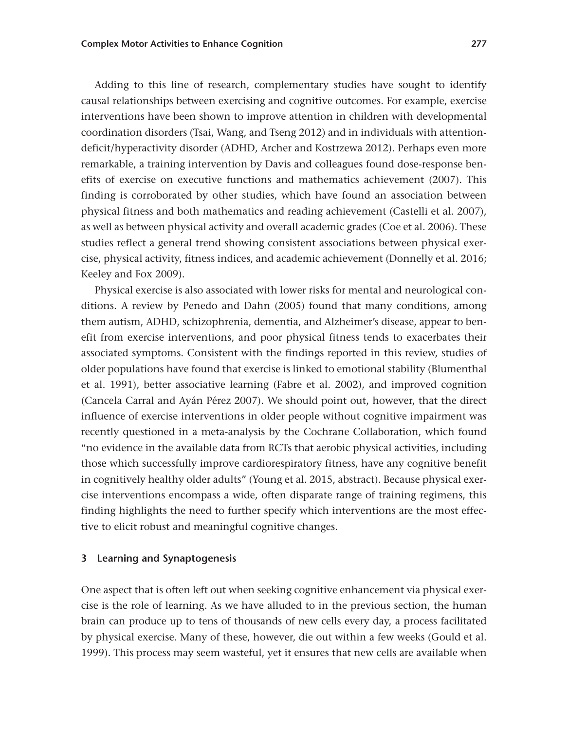Adding to this line of research, complementary studies have sought to identify causal relationships between exercising and cognitive outcomes. For example, exercise interventions have been shown to improve attention in children with developmental coordination disorders (Tsai, Wang, and Tseng 2012) and in individuals with attentiondeficit/hyperactivity disorder (ADHD, Archer and Kostrzewa 2012). Perhaps even more remarkable, a training intervention by Davis and colleagues found dose-response benefits of exercise on executive functions and mathematics achievement (2007). This finding is corroborated by other studies, which have found an association between physical fitness and both mathematics and reading achievement (Castelli et al. 2007), as well as between physical activity and overall academic grades (Coe et al. 2006). These studies reflect a general trend showing consistent associations between physical exercise, physical activity, fitness indices, and academic achievement (Donnelly et al. 2016; Keeley and Fox 2009).

Physical exercise is also associated with lower risks for mental and neurological conditions. A review by Penedo and Dahn (2005) found that many conditions, among them autism, ADHD, schizophrenia, dementia, and Alzheimer's disease, appear to benefit from exercise interventions, and poor physical fitness tends to exacerbates their associated symptoms. Consistent with the findings reported in this review, studies of older populations have found that exercise is linked to emotional stability (Blumenthal et al. 1991), better associative learning (Fabre et al. 2002), and improved cognition (Cancela Carral and Ayán Pérez 2007). We should point out, however, that the direct influence of exercise interventions in older people without cognitive impairment was recently questioned in a meta-analysis by the Cochrane Collaboration, which found "no evidence in the available data from RCTs that aerobic physical activities, including those which successfully improve cardiorespiratory fitness, have any cognitive benefit in cognitively healthy older adults" (Young et al. 2015, abstract). Because physical exercise interventions encompass a wide, often disparate range of training regimens, this finding highlights the need to further specify which interventions are the most effective to elicit robust and meaningful cognitive changes.

## **3 Learning and Synaptogenesis**

One aspect that is often left out when seeking cognitive enhancement via physical exercise is the role of learning. As we have alluded to in the previous section, the human brain can produce up to tens of thousands of new cells every day, a process facilitated by physical exercise. Many of these, however, die out within a few weeks (Gould et al. 1999). This process may seem wasteful, yet it ensures that new cells are available when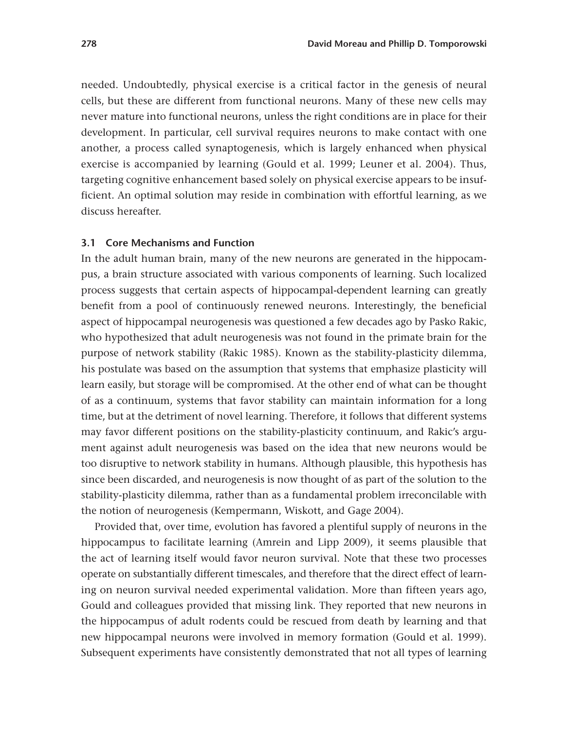needed. Undoubtedly, physical exercise is a critical factor in the genesis of neural cells, but these are different from functional neurons. Many of these new cells may never mature into functional neurons, unless the right conditions are in place for their development. In particular, cell survival requires neurons to make contact with one another, a process called synaptogenesis, which is largely enhanced when physical exercise is accompanied by learning (Gould et al. 1999; Leuner et al. 2004). Thus, targeting cognitive enhancement based solely on physical exercise appears to be insufficient. An optimal solution may reside in combination with effortful learning, as we discuss hereafter.

### **3.1 Core Mechanisms and Function**

In the adult human brain, many of the new neurons are generated in the hippocampus, a brain structure associated with various components of learning. Such localized process suggests that certain aspects of hippocampal-dependent learning can greatly benefit from a pool of continuously renewed neurons. Interestingly, the beneficial aspect of hippocampal neurogenesis was questioned a few decades ago by Pasko Rakic, who hypothesized that adult neurogenesis was not found in the primate brain for the purpose of network stability (Rakic 1985). Known as the stability-plasticity dilemma, his postulate was based on the assumption that systems that emphasize plasticity will learn easily, but storage will be compromised. At the other end of what can be thought of as a continuum, systems that favor stability can maintain information for a long time, but at the detriment of novel learning. Therefore, it follows that different systems may favor different positions on the stability-plasticity continuum, and Rakic's argument against adult neurogenesis was based on the idea that new neurons would be too disruptive to network stability in humans. Although plausible, this hypothesis has since been discarded, and neurogenesis is now thought of as part of the solution to the stability-plasticity dilemma, rather than as a fundamental problem irreconcilable with the notion of neurogenesis (Kempermann, Wiskott, and Gage 2004).

Provided that, over time, evolution has favored a plentiful supply of neurons in the hippocampus to facilitate learning (Amrein and Lipp 2009), it seems plausible that the act of learning itself would favor neuron survival. Note that these two processes operate on substantially different timescales, and therefore that the direct effect of learning on neuron survival needed experimental validation. More than fifteen years ago, Gould and colleagues provided that missing link. They reported that new neurons in the hippocampus of adult rodents could be rescued from death by learning and that new hippocampal neurons were involved in memory formation (Gould et al. 1999). Subsequent experiments have consistently demonstrated that not all types of learning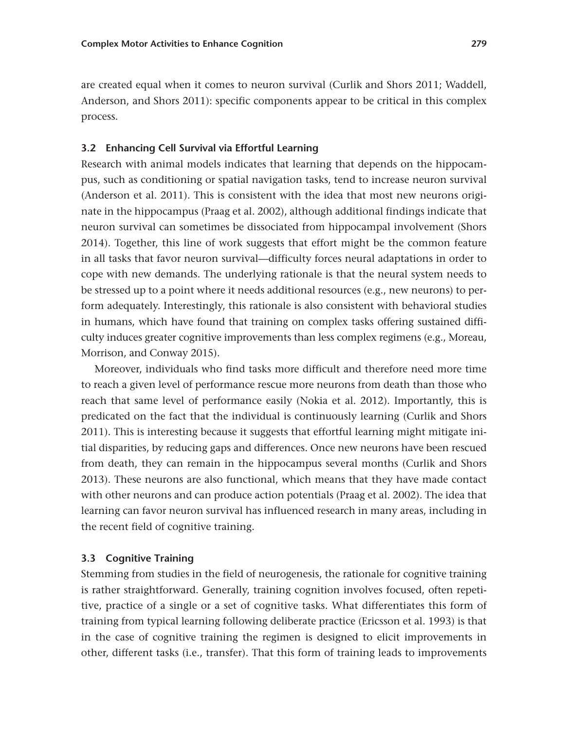are created equal when it comes to neuron survival (Curlik and Shors 2011; Waddell, Anderson, and Shors 2011): specific components appear to be critical in this complex process.

#### **3.2 Enhancing Cell Survival via Effortful Learning**

Research with animal models indicates that learning that depends on the hippocampus, such as conditioning or spatial navigation tasks, tend to increase neuron survival (Anderson et al. 2011). This is consistent with the idea that most new neurons originate in the hippocampus (Praag et al. 2002), although additional findings indicate that neuron survival can sometimes be dissociated from hippocampal involvement (Shors 2014). Together, this line of work suggests that effort might be the common feature in all tasks that favor neuron survival—difficulty forces neural adaptations in order to cope with new demands. The underlying rationale is that the neural system needs to be stressed up to a point where it needs additional resources (e.g., new neurons) to perform adequately. Interestingly, this rationale is also consistent with behavioral studies in humans, which have found that training on complex tasks offering sustained difficulty induces greater cognitive improvements than less complex regimens (e.g., Moreau, Morrison, and Conway 2015).

Moreover, individuals who find tasks more difficult and therefore need more time to reach a given level of performance rescue more neurons from death than those who reach that same level of performance easily (Nokia et al. 2012). Importantly, this is predicated on the fact that the individual is continuously learning (Curlik and Shors 2011). This is interesting because it suggests that effortful learning might mitigate initial disparities, by reducing gaps and differences. Once new neurons have been rescued from death, they can remain in the hippocampus several months (Curlik and Shors 2013). These neurons are also functional, which means that they have made contact with other neurons and can produce action potentials (Praag et al. 2002). The idea that learning can favor neuron survival has influenced research in many areas, including in the recent field of cognitive training.

# **3.3 Cognitive Training**

Stemming from studies in the field of neurogenesis, the rationale for cognitive training is rather straightforward. Generally, training cognition involves focused, often repetitive, practice of a single or a set of cognitive tasks. What differentiates this form of training from typical learning following deliberate practice (Ericsson et al. 1993) is that in the case of cognitive training the regimen is designed to elicit improvements in other, different tasks (i.e., transfer). That this form of training leads to improvements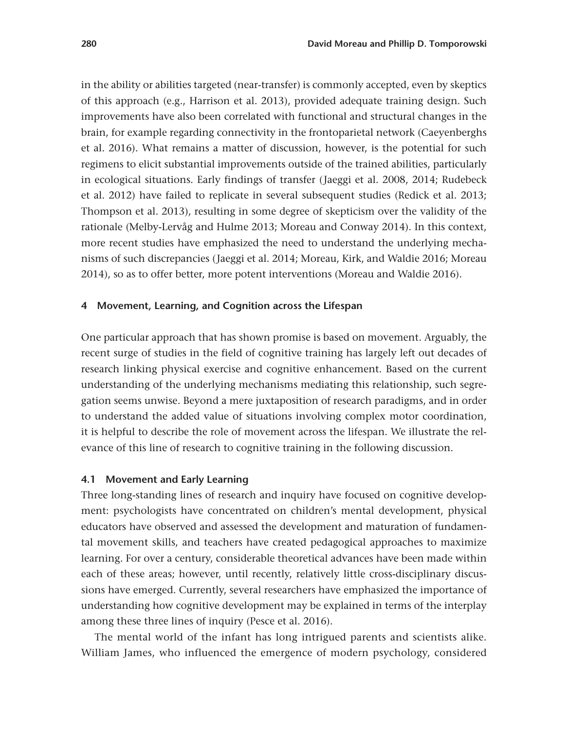in the ability or abilities targeted (near-transfer) is commonly accepted, even by skeptics of this approach (e.g., Harrison et al. 2013), provided adequate training design. Such improvements have also been correlated with functional and structural changes in the brain, for example regarding connectivity in the frontoparietal network (Caeyenberghs et al. 2016). What remains a matter of discussion, however, is the potential for such regimens to elicit substantial improvements outside of the trained abilities, particularly in ecological situations. Early findings of transfer ( Jaeggi et al. 2008, 2014; Rudebeck et al. 2012) have failed to replicate in several subsequent studies (Redick et al. 2013; Thompson et al. 2013), resulting in some degree of skepticism over the validity of the rationale (Melby-Lervåg and Hulme 2013; Moreau and Conway 2014). In this context, more recent studies have emphasized the need to understand the underlying mechanisms of such discrepancies ( Jaeggi et al. 2014; Moreau, Kirk, and Waldie 2016; Moreau 2014), so as to offer better, more potent interventions (Moreau and Waldie 2016).

#### **4 Movement, Learning, and Cognition across the Lifespan**

One particular approach that has shown promise is based on movement. Arguably, the recent surge of studies in the field of cognitive training has largely left out decades of research linking physical exercise and cognitive enhancement. Based on the current understanding of the underlying mechanisms mediating this relationship, such segregation seems unwise. Beyond a mere juxtaposition of research paradigms, and in order to understand the added value of situations involving complex motor coordination, it is helpful to describe the role of movement across the lifespan. We illustrate the relevance of this line of research to cognitive training in the following discussion.

#### **4.1 Movement and Early Learning**

Three long-standing lines of research and inquiry have focused on cognitive development: psychologists have concentrated on children's mental development, physical educators have observed and assessed the development and maturation of fundamental movement skills, and teachers have created pedagogical approaches to maximize learning. For over a century, considerable theoretical advances have been made within each of these areas; however, until recently, relatively little cross-disciplinary discussions have emerged. Currently, several researchers have emphasized the importance of understanding how cognitive development may be explained in terms of the interplay among these three lines of inquiry (Pesce et al. 2016).

The mental world of the infant has long intrigued parents and scientists alike. William James, who influenced the emergence of modern psychology, considered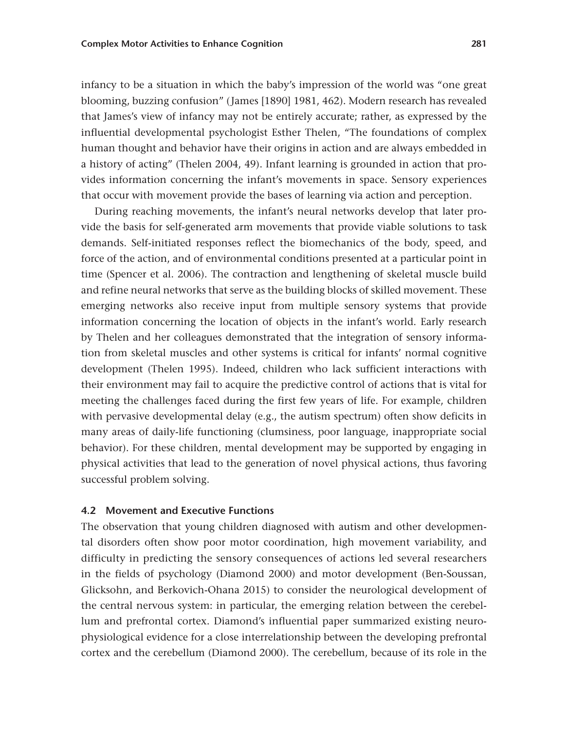infancy to be a situation in which the baby's impression of the world was "one great blooming, buzzing confusion" ( James [1890] 1981, 462). Modern research has revealed that James's view of infancy may not be entirely accurate; rather, as expressed by the influential developmental psychologist Esther Thelen, "The foundations of complex human thought and behavior have their origins in action and are always embedded in a history of acting" (Thelen 2004, 49). Infant learning is grounded in action that provides information concerning the infant's movements in space. Sensory experiences that occur with movement provide the bases of learning via action and perception.

During reaching movements, the infant's neural networks develop that later provide the basis for self-generated arm movements that provide viable solutions to task demands. Self-initiated responses reflect the biomechanics of the body, speed, and force of the action, and of environmental conditions presented at a particular point in time (Spencer et al. 2006). The contraction and lengthening of skeletal muscle build and refine neural networks that serve as the building blocks of skilled movement. These emerging networks also receive input from multiple sensory systems that provide information concerning the location of objects in the infant's world. Early research by Thelen and her colleagues demonstrated that the integration of sensory information from skeletal muscles and other systems is critical for infants' normal cognitive development (Thelen 1995). Indeed, children who lack sufficient interactions with their environment may fail to acquire the predictive control of actions that is vital for meeting the challenges faced during the first few years of life. For example, children with pervasive developmental delay (e.g., the autism spectrum) often show deficits in many areas of daily-life functioning (clumsiness, poor language, inappropriate social behavior). For these children, mental development may be supported by engaging in physical activities that lead to the generation of novel physical actions, thus favoring successful problem solving.

## **4.2 Movement and Executive Functions**

The observation that young children diagnosed with autism and other developmental disorders often show poor motor coordination, high movement variability, and difficulty in predicting the sensory consequences of actions led several researchers in the fields of psychology (Diamond 2000) and motor development (Ben-Soussan, Glicksohn, and Berkovich-Ohana 2015) to consider the neurological development of the central nervous system: in particular, the emerging relation between the cerebellum and prefrontal cortex. Diamond's influential paper summarized existing neurophysiological evidence for a close interrelationship between the developing prefrontal cortex and the cerebellum (Diamond 2000). The cerebellum, because of its role in the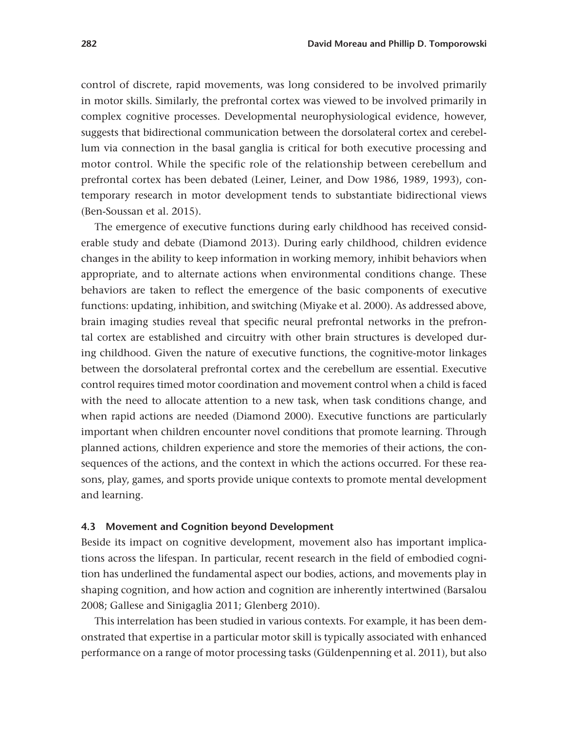control of discrete, rapid movements, was long considered to be involved primarily in motor skills. Similarly, the prefrontal cortex was viewed to be involved primarily in complex cognitive processes. Developmental neurophysiological evidence, however, suggests that bidirectional communication between the dorsolateral cortex and cerebellum via connection in the basal ganglia is critical for both executive processing and motor control. While the specific role of the relationship between cerebellum and prefrontal cortex has been debated (Leiner, Leiner, and Dow 1986, 1989, 1993), contemporary research in motor development tends to substantiate bidirectional views (Ben-Soussan et al. 2015).

The emergence of executive functions during early childhood has received considerable study and debate (Diamond 2013). During early childhood, children evidence changes in the ability to keep information in working memory, inhibit behaviors when appropriate, and to alternate actions when environmental conditions change. These behaviors are taken to reflect the emergence of the basic components of executive functions: updating, inhibition, and switching (Miyake et al. 2000). As addressed above, brain imaging studies reveal that specific neural prefrontal networks in the prefrontal cortex are established and circuitry with other brain structures is developed during childhood. Given the nature of executive functions, the cognitive-motor linkages between the dorsolateral prefrontal cortex and the cerebellum are essential. Executive control requires timed motor coordination and movement control when a child is faced with the need to allocate attention to a new task, when task conditions change, and when rapid actions are needed (Diamond 2000). Executive functions are particularly important when children encounter novel conditions that promote learning. Through planned actions, children experience and store the memories of their actions, the consequences of the actions, and the context in which the actions occurred. For these reasons, play, games, and sports provide unique contexts to promote mental development and learning.

#### **4.3 Movement and Cognition beyond Development**

Beside its impact on cognitive development, movement also has important implications across the lifespan. In particular, recent research in the field of embodied cognition has underlined the fundamental aspect our bodies, actions, and movements play in shaping cognition, and how action and cognition are inherently intertwined (Barsalou 2008; Gallese and Sinigaglia 2011; Glenberg 2010).

This interrelation has been studied in various contexts. For example, it has been demonstrated that expertise in a particular motor skill is typically associated with enhanced performance on a range of motor processing tasks (Güldenpenning et al. 2011), but also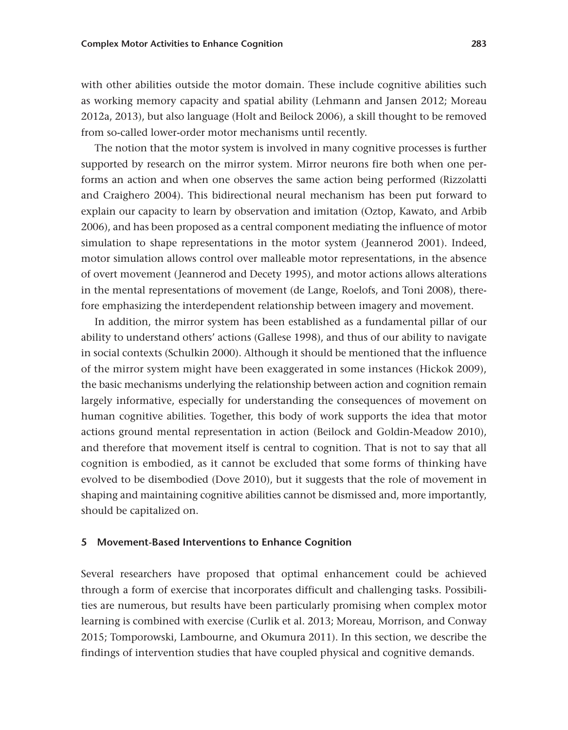with other abilities outside the motor domain. These include cognitive abilities such as working memory capacity and spatial ability (Lehmann and Jansen 2012; Moreau 2012a, 2013), but also language (Holt and Beilock 2006), a skill thought to be removed from so-called lower-order motor mechanisms until recently.

The notion that the motor system is involved in many cognitive processes is further supported by research on the mirror system. Mirror neurons fire both when one performs an action and when one observes the same action being performed (Rizzolatti and Craighero 2004). This bidirectional neural mechanism has been put forward to explain our capacity to learn by observation and imitation (Oztop, Kawato, and Arbib 2006), and has been proposed as a central component mediating the influence of motor simulation to shape representations in the motor system (Jeannerod 2001). Indeed, motor simulation allows control over malleable motor representations, in the absence of overt movement ( Jeannerod and Decety 1995), and motor actions allows alterations in the mental representations of movement (de Lange, Roelofs, and Toni 2008), therefore emphasizing the interdependent relationship between imagery and movement.

In addition, the mirror system has been established as a fundamental pillar of our ability to understand others' actions (Gallese 1998), and thus of our ability to navigate in social contexts (Schulkin 2000). Although it should be mentioned that the influence of the mirror system might have been exaggerated in some instances (Hickok 2009), the basic mechanisms underlying the relationship between action and cognition remain largely informative, especially for understanding the consequences of movement on human cognitive abilities. Together, this body of work supports the idea that motor actions ground mental representation in action (Beilock and Goldin-Meadow 2010), and therefore that movement itself is central to cognition. That is not to say that all cognition is embodied, as it cannot be excluded that some forms of thinking have evolved to be disembodied (Dove 2010), but it suggests that the role of movement in shaping and maintaining cognitive abilities cannot be dismissed and, more importantly, should be capitalized on.

#### **5 Movement-Based Interventions to Enhance Cognition**

Several researchers have proposed that optimal enhancement could be achieved through a form of exercise that incorporates difficult and challenging tasks. Possibilities are numerous, but results have been particularly promising when complex motor learning is combined with exercise (Curlik et al. 2013; Moreau, Morrison, and Conway 2015; Tomporowski, Lambourne, and Okumura 2011). In this section, we describe the findings of intervention studies that have coupled physical and cognitive demands.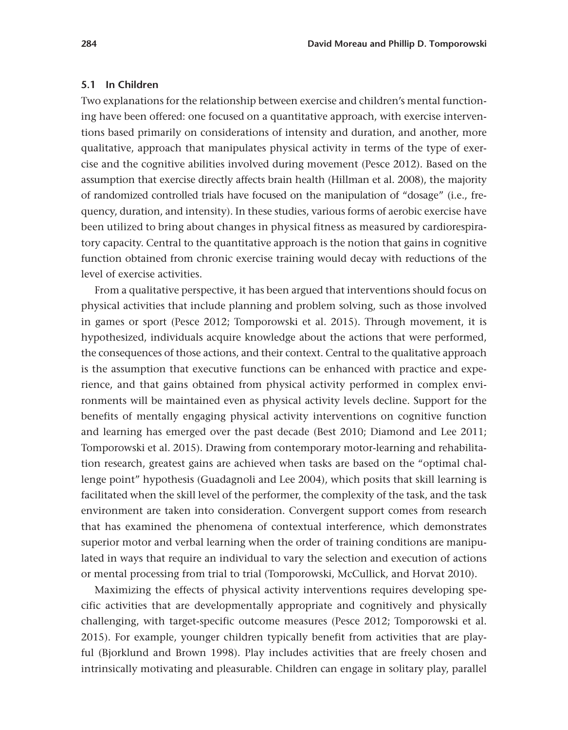### **5.1 In Children**

Two explanations for the relationship between exercise and children's mental functioning have been offered: one focused on a quantitative approach, with exercise interventions based primarily on considerations of intensity and duration, and another, more qualitative, approach that manipulates physical activity in terms of the type of exercise and the cognitive abilities involved during movement (Pesce 2012). Based on the assumption that exercise directly affects brain health (Hillman et al. 2008), the majority of randomized controlled trials have focused on the manipulation of "dosage" (i.e., frequency, duration, and intensity). In these studies, various forms of aerobic exercise have been utilized to bring about changes in physical fitness as measured by cardiorespiratory capacity. Central to the quantitative approach is the notion that gains in cognitive function obtained from chronic exercise training would decay with reductions of the level of exercise activities.

From a qualitative perspective, it has been argued that interventions should focus on physical activities that include planning and problem solving, such as those involved in games or sport (Pesce 2012; Tomporowski et al. 2015). Through movement, it is hypothesized, individuals acquire knowledge about the actions that were performed, the consequences of those actions, and their context. Central to the qualitative approach is the assumption that executive functions can be enhanced with practice and experience, and that gains obtained from physical activity performed in complex environments will be maintained even as physical activity levels decline. Support for the benefits of mentally engaging physical activity interventions on cognitive function and learning has emerged over the past decade (Best 2010; Diamond and Lee 2011; Tomporowski et al. 2015). Drawing from contemporary motor-learning and rehabilitation research, greatest gains are achieved when tasks are based on the "optimal challenge point" hypothesis (Guadagnoli and Lee 2004), which posits that skill learning is facilitated when the skill level of the performer, the complexity of the task, and the task environment are taken into consideration. Convergent support comes from research that has examined the phenomena of contextual interference, which demonstrates superior motor and verbal learning when the order of training conditions are manipulated in ways that require an individual to vary the selection and execution of actions or mental processing from trial to trial (Tomporowski, McCullick, and Horvat 2010).

Maximizing the effects of physical activity interventions requires developing specific activities that are developmentally appropriate and cognitively and physically challenging, with target-specific outcome measures (Pesce 2012; Tomporowski et al. 2015). For example, younger children typically benefit from activities that are playful (Bjorklund and Brown 1998). Play includes activities that are freely chosen and intrinsically motivating and pleasurable. Children can engage in solitary play, parallel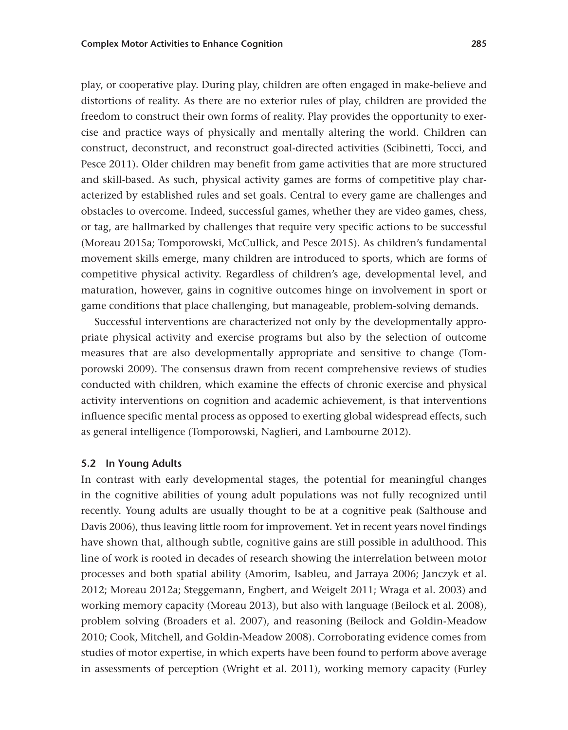play, or cooperative play. During play, children are often engaged in make-believe and distortions of reality. As there are no exterior rules of play, children are provided the freedom to construct their own forms of reality. Play provides the opportunity to exercise and practice ways of physically and mentally altering the world. Children can construct, deconstruct, and reconstruct goal-directed activities (Scibinetti, Tocci, and Pesce 2011). Older children may benefit from game activities that are more structured and skill-based. As such, physical activity games are forms of competitive play characterized by established rules and set goals. Central to every game are challenges and obstacles to overcome. Indeed, successful games, whether they are video games, chess, or tag, are hallmarked by challenges that require very specific actions to be successful (Moreau 2015a; Tomporowski, McCullick, and Pesce 2015). As children's fundamental movement skills emerge, many children are introduced to sports, which are forms of competitive physical activity. Regardless of children's age, developmental level, and maturation, however, gains in cognitive outcomes hinge on involvement in sport or game conditions that place challenging, but manageable, problem-solving demands.

Successful interventions are characterized not only by the developmentally appropriate physical activity and exercise programs but also by the selection of outcome measures that are also developmentally appropriate and sensitive to change (Tomporowski 2009). The consensus drawn from recent comprehensive reviews of studies conducted with children, which examine the effects of chronic exercise and physical activity interventions on cognition and academic achievement, is that interventions influence specific mental process as opposed to exerting global widespread effects, such as general intelligence (Tomporowski, Naglieri, and Lambourne 2012).

#### **5.2 In Young Adults**

In contrast with early developmental stages, the potential for meaningful changes in the cognitive abilities of young adult populations was not fully recognized until recently. Young adults are usually thought to be at a cognitive peak (Salthouse and Davis 2006), thus leaving little room for improvement. Yet in recent years novel findings have shown that, although subtle, cognitive gains are still possible in adulthood. This line of work is rooted in decades of research showing the interrelation between motor processes and both spatial ability (Amorim, Isableu, and Jarraya 2006; Janczyk et al. 2012; Moreau 2012a; Steggemann, Engbert, and Weigelt 2011; Wraga et al. 2003) and working memory capacity (Moreau 2013), but also with language (Beilock et al. 2008), problem solving (Broaders et al. 2007), and reasoning (Beilock and Goldin-Meadow 2010; Cook, Mitchell, and Goldin-Meadow 2008). Corroborating evidence comes from studies of motor expertise, in which experts have been found to perform above average in assessments of perception (Wright et al. 2011), working memory capacity (Furley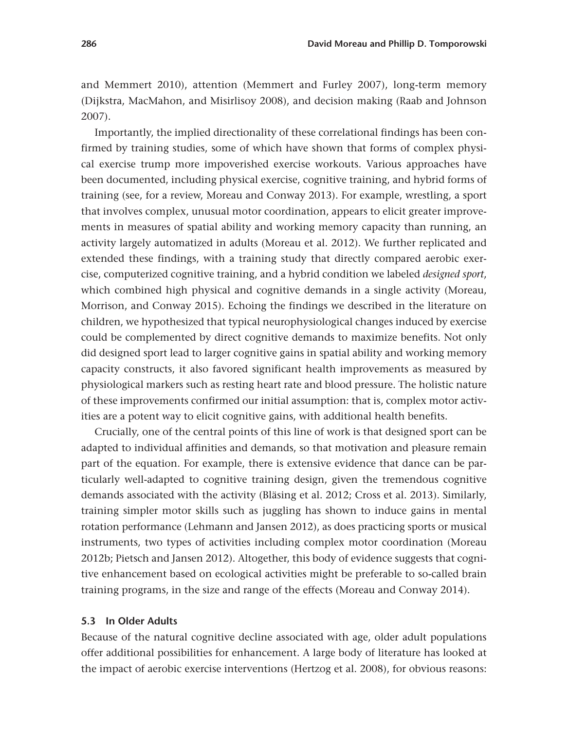and Memmert 2010), attention (Memmert and Furley 2007), long-term memory (Dijkstra, MacMahon, and Misirlisoy 2008), and decision making (Raab and Johnson 2007).

Importantly, the implied directionality of these correlational findings has been confirmed by training studies, some of which have shown that forms of complex physical exercise trump more impoverished exercise workouts. Various approaches have been documented, including physical exercise, cognitive training, and hybrid forms of training (see, for a review, Moreau and Conway 2013). For example, wrestling, a sport that involves complex, unusual motor coordination, appears to elicit greater improvements in measures of spatial ability and working memory capacity than running, an activity largely automatized in adults (Moreau et al. 2012). We further replicated and extended these findings, with a training study that directly compared aerobic exercise, computerized cognitive training, and a hybrid condition we labeled *designed sport*, which combined high physical and cognitive demands in a single activity (Moreau, Morrison, and Conway 2015). Echoing the findings we described in the literature on children, we hypothesized that typical neurophysiological changes induced by exercise could be complemented by direct cognitive demands to maximize benefits. Not only did designed sport lead to larger cognitive gains in spatial ability and working memory capacity constructs, it also favored significant health improvements as measured by physiological markers such as resting heart rate and blood pressure. The holistic nature of these improvements confirmed our initial assumption: that is, complex motor activities are a potent way to elicit cognitive gains, with additional health benefits.

Crucially, one of the central points of this line of work is that designed sport can be adapted to individual affinities and demands, so that motivation and pleasure remain part of the equation. For example, there is extensive evidence that dance can be particularly well-adapted to cognitive training design, given the tremendous cognitive demands associated with the activity (Bläsing et al. 2012; Cross et al. 2013). Similarly, training simpler motor skills such as juggling has shown to induce gains in mental rotation performance (Lehmann and Jansen 2012), as does practicing sports or musical instruments, two types of activities including complex motor coordination (Moreau 2012b; Pietsch and Jansen 2012). Altogether, this body of evidence suggests that cognitive enhancement based on ecological activities might be preferable to so-called brain training programs, in the size and range of the effects (Moreau and Conway 2014).

#### **5.3 In Older Adults**

Because of the natural cognitive decline associated with age, older adult populations offer additional possibilities for enhancement. A large body of literature has looked at the impact of aerobic exercise interventions (Hertzog et al. 2008), for obvious reasons: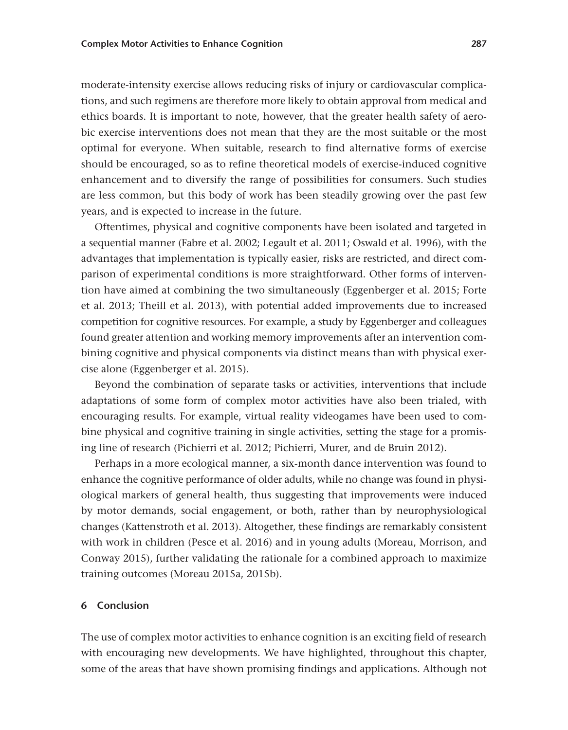moderate-intensity exercise allows reducing risks of injury or cardiovascular complications, and such regimens are therefore more likely to obtain approval from medical and ethics boards. It is important to note, however, that the greater health safety of aerobic exercise interventions does not mean that they are the most suitable or the most optimal for everyone. When suitable, research to find alternative forms of exercise should be encouraged, so as to refine theoretical models of exercise-induced cognitive enhancement and to diversify the range of possibilities for consumers. Such studies are less common, but this body of work has been steadily growing over the past few years, and is expected to increase in the future.

Oftentimes, physical and cognitive components have been isolated and targeted in a sequential manner (Fabre et al. 2002; Legault et al. 2011; Oswald et al. 1996), with the advantages that implementation is typically easier, risks are restricted, and direct comparison of experimental conditions is more straightforward. Other forms of intervention have aimed at combining the two simultaneously (Eggenberger et al. 2015; Forte et al. 2013; Theill et al. 2013), with potential added improvements due to increased competition for cognitive resources. For example, a study by Eggenberger and colleagues found greater attention and working memory improvements after an intervention combining cognitive and physical components via distinct means than with physical exercise alone (Eggenberger et al. 2015).

Beyond the combination of separate tasks or activities, interventions that include adaptations of some form of complex motor activities have also been trialed, with encouraging results. For example, virtual reality videogames have been used to combine physical and cognitive training in single activities, setting the stage for a promising line of research (Pichierri et al. 2012; Pichierri, Murer, and de Bruin 2012).

Perhaps in a more ecological manner, a six-month dance intervention was found to enhance the cognitive performance of older adults, while no change was found in physiological markers of general health, thus suggesting that improvements were induced by motor demands, social engagement, or both, rather than by neurophysiological changes (Kattenstroth et al. 2013). Altogether, these findings are remarkably consistent with work in children (Pesce et al. 2016) and in young adults (Moreau, Morrison, and Conway 2015), further validating the rationale for a combined approach to maximize training outcomes (Moreau 2015a, 2015b).

#### **6 Conclusion**

The use of complex motor activities to enhance cognition is an exciting field of research with encouraging new developments. We have highlighted, throughout this chapter, some of the areas that have shown promising findings and applications. Although not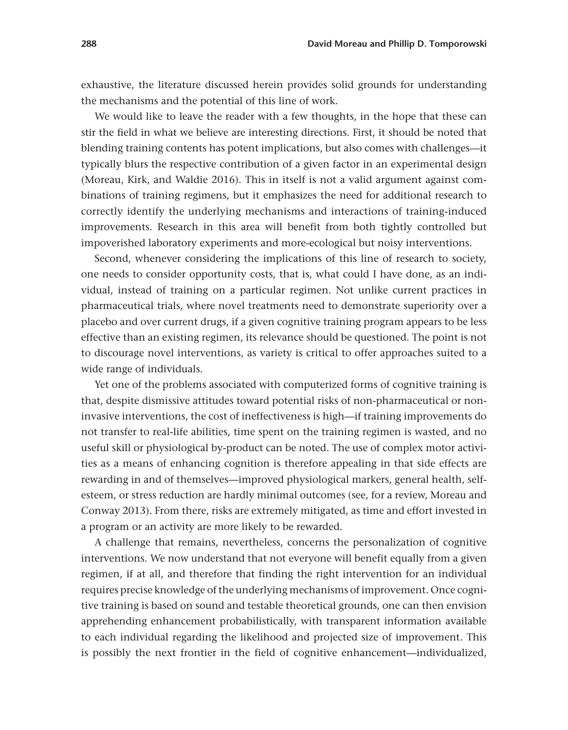exhaustive, the literature discussed herein provides solid grounds for understanding the mechanisms and the potential of this line of work.

We would like to leave the reader with a few thoughts, in the hope that these can stir the field in what we believe are interesting directions. First, it should be noted that blending training contents has potent implications, but also comes with challenges—it typically blurs the respective contribution of a given factor in an experimental design (Moreau, Kirk, and Waldie 2016). This in itself is not a valid argument against combinations of training regimens, but it emphasizes the need for additional research to correctly identify the underlying mechanisms and interactions of training-induced improvements. Research in this area will benefit from both tightly controlled but impoverished laboratory experiments and more-ecological but noisy interventions.

Second, whenever considering the implications of this line of research to society, one needs to consider opportunity costs, that is, what could I have done, as an individual, instead of training on a particular regimen. Not unlike current practices in pharmaceutical trials, where novel treatments need to demonstrate superiority over a placebo and over current drugs, if a given cognitive training program appears to be less effective than an existing regimen, its relevance should be questioned. The point is not to discourage novel interventions, as variety is critical to offer approaches suited to a wide range of individuals.

Yet one of the problems associated with computerized forms of cognitive training is that, despite dismissive attitudes toward potential risks of non-pharmaceutical or noninvasive interventions, the cost of ineffectiveness is high—if training improvements do not transfer to real-life abilities, time spent on the training regimen is wasted, and no useful skill or physiological by-product can be noted. The use of complex motor activities as a means of enhancing cognition is therefore appealing in that side effects are rewarding in and of themselves—improved physiological markers, general health, selfesteem, or stress reduction are hardly minimal outcomes (see, for a review, Moreau and Conway 2013). From there, risks are extremely mitigated, as time and effort invested in a program or an activity are more likely to be rewarded.

A challenge that remains, nevertheless, concerns the personalization of cognitive interventions. We now understand that not everyone will benefit equally from a given regimen, if at all, and therefore that finding the right intervention for an individual requires precise knowledge of the underlying mechanisms of improvement. Once cognitive training is based on sound and testable theoretical grounds, one can then envision apprehending enhancement probabilistically, with transparent information available to each individual regarding the likelihood and projected size of improvement. This is possibly the next frontier in the field of cognitive enhancement—individualized,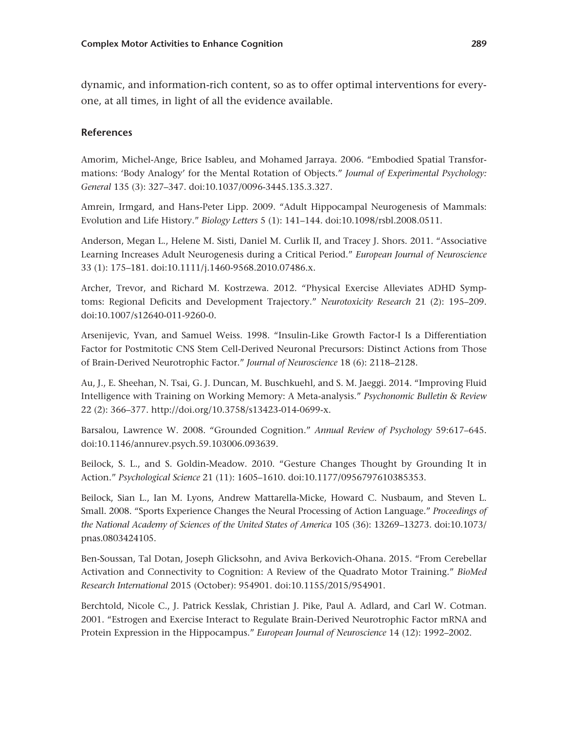dynamic, and information-rich content, so as to offer optimal interventions for everyone, at all times, in light of all the evidence available.

## **References**

Amorim, Michel-Ange, Brice Isableu, and Mohamed Jarraya. 2006. "Embodied Spatial Transformations: 'Body Analogy' for the Mental Rotation of Objects." *Journal of Experimental Psychology: General* 135 (3): 327–347. doi:10.1037/0096-3445.135.3.327.

Amrein, Irmgard, and Hans-Peter Lipp. 2009. "Adult Hippocampal Neurogenesis of Mammals: Evolution and Life History." *Biology Letters* 5 (1): 141–144. doi:10.1098/rsbl.2008.0511.

Anderson, Megan L., Helene M. Sisti, Daniel M. Curlik II, and Tracey J. Shors. 2011. "Associative Learning Increases Adult Neurogenesis during a Critical Period." *European Journal of Neuroscience* 33 (1): 175–181. doi:10.1111/j.1460-9568.2010.07486.x.

Archer, Trevor, and Richard M. Kostrzewa. 2012. "Physical Exercise Alleviates ADHD Symptoms: Regional Deficits and Development Trajectory." *Neurotoxicity Research* 21 (2): 195–209. doi:10.1007/s12640-011-9260-0.

Arsenijevic, Yvan, and Samuel Weiss. 1998. "Insulin-Like Growth Factor-I Is a Differentiation Factor for Postmitotic CNS Stem Cell-Derived Neuronal Precursors: Distinct Actions from Those of Brain-Derived Neurotrophic Factor." *Journal of Neuroscience* 18 (6): 2118–2128.

Au, J., E. Sheehan, N. Tsai, G. J. Duncan, M. Buschkuehl, and S. M. Jaeggi. 2014. "Improving Fluid Intelligence with Training on Working Memory: A Meta-analysis." *Psychonomic Bulletin & Review* 22 (2): 366–377. [http://doi.org/10.3758/s13423-014-0699-x.](http://doi.org/10.3758/s13423-014-0699-x)

Barsalou, Lawrence W. 2008. "Grounded Cognition." *Annual Review of Psychology* 59:617–645. doi:10.1146/annurev.psych.59.103006.093639.

Beilock, S. L., and S. Goldin-Meadow. 2010. "Gesture Changes Thought by Grounding It in Action." *Psychological Science* 21 (11): 1605–1610. doi:10.1177/0956797610385353.

Beilock, Sian L., Ian M. Lyons, Andrew Mattarella-Micke, Howard C. Nusbaum, and Steven L. Small. 2008. "Sports Experience Changes the Neural Processing of Action Language." *Proceedings of the National Academy of Sciences of the United States of America* 105 (36): 13269–13273. doi:10.1073/ pnas.0803424105.

Ben-Soussan, Tal Dotan, Joseph Glicksohn, and Aviva Berkovich-Ohana. 2015. "From Cerebellar Activation and Connectivity to Cognition: A Review of the Quadrato Motor Training." *BioMed Research International* 2015 (October): 954901. doi:10.1155/2015/954901.

Berchtold, Nicole C., J. Patrick Kesslak, Christian J. Pike, Paul A. Adlard, and Carl W. Cotman. 2001. "Estrogen and Exercise Interact to Regulate Brain-Derived Neurotrophic Factor mRNA and Protein Expression in the Hippocampus." *European Journal of Neuroscience* 14 (12): 1992–2002.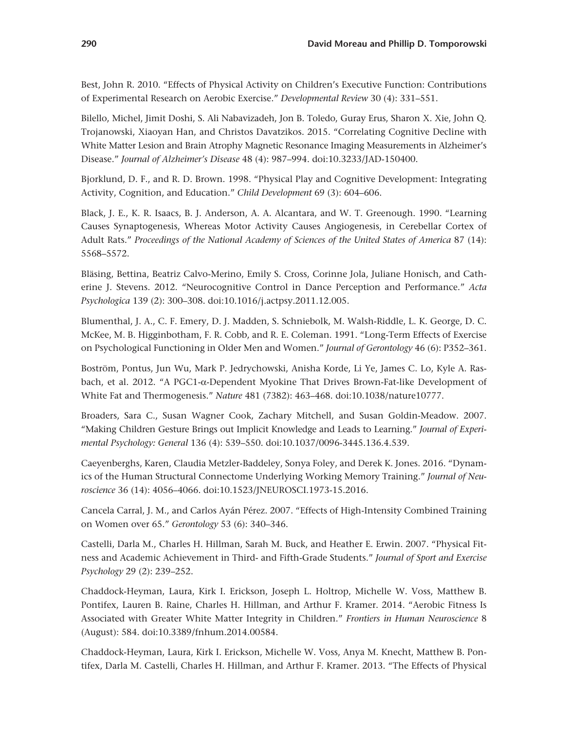Best, John R. 2010. "Effects of Physical Activity on Children's Executive Function: Contributions of Experimental Research on Aerobic Exercise." *Developmental Review* 30 (4): 331–551.

Bilello, Michel, Jimit Doshi, S. Ali Nabavizadeh, Jon B. Toledo, Guray Erus, Sharon X. Xie, John Q. Trojanowski, Xiaoyan Han, and Christos Davatzikos. 2015. "Correlating Cognitive Decline with White Matter Lesion and Brain Atrophy Magnetic Resonance Imaging Measurements in Alzheimer's Disease." *Journal of Alzheimer's Disease* 48 (4): 987–994. doi:10.3233/JAD-150400.

Bjorklund, D. F., and R. D. Brown. 1998. "Physical Play and Cognitive Development: Integrating Activity, Cognition, and Education." *Child Development* 69 (3): 604–606.

Black, J. E., K. R. Isaacs, B. J. Anderson, A. A. Alcantara, and W. T. Greenough. 1990. "Learning Causes Synaptogenesis, Whereas Motor Activity Causes Angiogenesis, in Cerebellar Cortex of Adult Rats." *Proceedings of the National Academy of Sciences of the United States of America* 87 (14): 5568–5572.

Bläsing, Bettina, Beatriz Calvo-Merino, Emily S. Cross, Corinne Jola, Juliane Honisch, and Catherine J. Stevens. 2012. "Neurocognitive Control in Dance Perception and Performance." *Acta Psychologica* 139 (2): 300–308. doi:10.1016/j.actpsy.2011.12.005.

Blumenthal, J. A., C. F. Emery, D. J. Madden, S. Schniebolk, M. Walsh-Riddle, L. K. George, D. C. McKee, M. B. Higginbotham, F. R. Cobb, and R. E. Coleman. 1991. "Long-Term Effects of Exercise on Psychological Functioning in Older Men and Women." *Journal of Gerontology* 46 (6): P352–361.

Boström, Pontus, Jun Wu, Mark P. Jedrychowski, Anisha Korde, Li Ye, James C. Lo, Kyle A. Rasbach, et al. 2012. "A PGC1-α-Dependent Myokine That Drives Brown-Fat-like Development of White Fat and Thermogenesis." *Nature* 481 (7382): 463–468. doi:10.1038/nature10777.

Broaders, Sara C., Susan Wagner Cook, Zachary Mitchell, and Susan Goldin-Meadow. 2007. "Making Children Gesture Brings out Implicit Knowledge and Leads to Learning." *Journal of Experimental Psychology: General* 136 (4): 539–550. doi:10.1037/0096-3445.136.4.539.

Caeyenberghs, Karen, Claudia Metzler-Baddeley, Sonya Foley, and Derek K. Jones. 2016. "Dynamics of the Human Structural Connectome Underlying Working Memory Training." *Journal of Neuroscience* 36 (14): 4056–4066. doi:10.1523/JNEUROSCI.1973-15.2016.

Cancela Carral, J. M., and Carlos Ayán Pérez. 2007. "Effects of High-Intensity Combined Training on Women over 65." *Gerontology* 53 (6): 340–346.

Castelli, Darla M., Charles H. Hillman, Sarah M. Buck, and Heather E. Erwin. 2007. "Physical Fitness and Academic Achievement in Third- and Fifth-Grade Students." *Journal of Sport and Exercise Psychology* 29 (2): 239–252.

Chaddock-Heyman, Laura, Kirk I. Erickson, Joseph L. Holtrop, Michelle W. Voss, Matthew B. Pontifex, Lauren B. Raine, Charles H. Hillman, and Arthur F. Kramer. 2014. "Aerobic Fitness Is Associated with Greater White Matter Integrity in Children." *Frontiers in Human Neuroscience* 8 (August): 584. doi:10.3389/fnhum.2014.00584.

Chaddock-Heyman, Laura, Kirk I. Erickson, Michelle W. Voss, Anya M. Knecht, Matthew B. Pontifex, Darla M. Castelli, Charles H. Hillman, and Arthur F. Kramer. 2013. "The Effects of Physical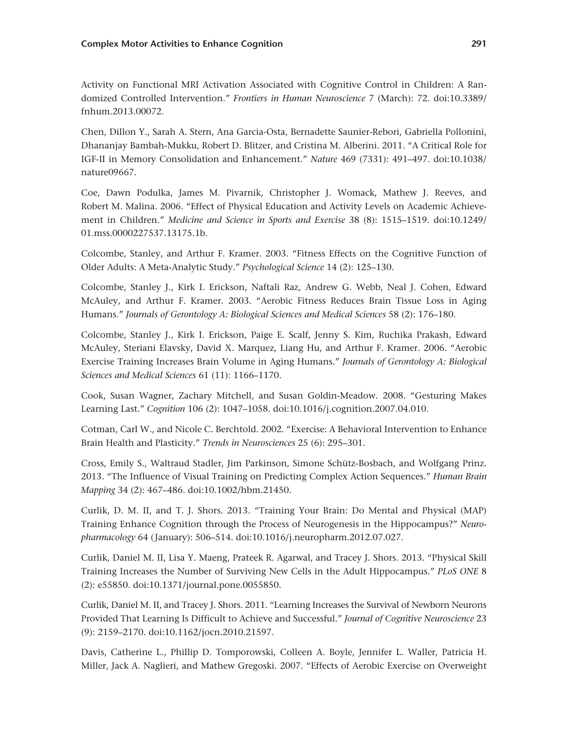Activity on Functional MRI Activation Associated with Cognitive Control in Children: A Randomized Controlled Intervention." *Frontiers in Human Neuroscience* 7 (March): 72. doi:10.3389/ fnhum.2013.00072.

Chen, Dillon Y., Sarah A. Stern, Ana Garcia-Osta, Bernadette Saunier-Rebori, Gabriella Pollonini, Dhananjay Bambah-Mukku, Robert D. Blitzer, and Cristina M. Alberini. 2011. "A Critical Role for IGF-II in Memory Consolidation and Enhancement." *Nature* 469 (7331): 491–497. doi:10.1038/ nature09667.

Coe, Dawn Podulka, James M. Pivarnik, Christopher J. Womack, Mathew J. Reeves, and Robert M. Malina. 2006. "Effect of Physical Education and Activity Levels on Academic Achievement in Children." *Medicine and Science in Sports and Exercise* 38 (8): 1515–1519. doi:10.1249/ 01.mss.0000227537.13175.1b.

Colcombe, Stanley, and Arthur F. Kramer. 2003. "Fitness Effects on the Cognitive Function of Older Adults: A Meta-Analytic Study." *Psychological Science* 14 (2): 125–130.

Colcombe, Stanley J., Kirk I. Erickson, Naftali Raz, Andrew G. Webb, Neal J. Cohen, Edward McAuley, and Arthur F. Kramer. 2003. "Aerobic Fitness Reduces Brain Tissue Loss in Aging Humans." *Journals of Gerontology A: Biological Sciences and Medical Sciences* 58 (2): 176–180.

Colcombe, Stanley J., Kirk I. Erickson, Paige E. Scalf, Jenny S. Kim, Ruchika Prakash, Edward McAuley, Steriani Elavsky, David X. Marquez, Liang Hu, and Arthur F. Kramer. 2006. "Aerobic Exercise Training Increases Brain Volume in Aging Humans." *Journals of Gerontology A: Biological Sciences and Medical Sciences* 61 (11): 1166–1170.

Cook, Susan Wagner, Zachary Mitchell, and Susan Goldin-Meadow. 2008. "Gesturing Makes Learning Last." *Cognition* 106 (2): 1047–1058. doi:10.1016/j.cognition.2007.04.010.

Cotman, Carl W., and Nicole C. Berchtold. 2002. "Exercise: A Behavioral Intervention to Enhance Brain Health and Plasticity." *Trends in Neurosciences* 25 (6): 295–301.

Cross, Emily S., Waltraud Stadler, Jim Parkinson, Simone Schütz-Bosbach, and Wolfgang Prinz. 2013. "The Influence of Visual Training on Predicting Complex Action Sequences." *Human Brain Mapping* 34 (2): 467–486. doi:10.1002/hbm.21450.

Curlik, D. M. II, and T. J. Shors. 2013. "Training Your Brain: Do Mental and Physical (MAP) Training Enhance Cognition through the Process of Neurogenesis in the Hippocampus?" *Neuropharmacology* 64 ( January): 506–514. doi:10.1016/j.neuropharm.2012.07.027.

Curlik, Daniel M. II, Lisa Y. Maeng, Prateek R. Agarwal, and Tracey J. Shors. 2013. "Physical Skill Training Increases the Number of Surviving New Cells in the Adult Hippocampus." *PLoS ONE* 8 (2): e55850. doi:10.1371/journal.pone.0055850.

Curlik, Daniel M. II, and Tracey J. Shors. 2011. "Learning Increases the Survival of Newborn Neurons Provided That Learning Is Difficult to Achieve and Successful." *Journal of Cognitive Neuroscience* 23 (9): 2159–2170. doi:10.1162/jocn.2010.21597.

Davis, Catherine L., Phillip D. Tomporowski, Colleen A. Boyle, Jennifer L. Waller, Patricia H. Miller, Jack A. Naglieri, and Mathew Gregoski. 2007. "Effects of Aerobic Exercise on Overweight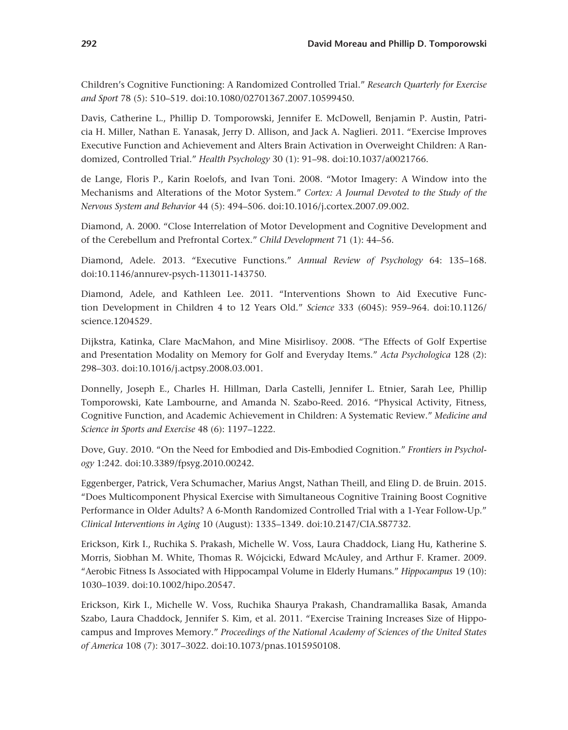Children's Cognitive Functioning: A Randomized Controlled Trial." *Research Quarterly for Exercise and Sport* 78 (5): 510–519. doi:10.1080/02701367.2007.10599450.

Davis, Catherine L., Phillip D. Tomporowski, Jennifer E. McDowell, Benjamin P. Austin, Patricia H. Miller, Nathan E. Yanasak, Jerry D. Allison, and Jack A. Naglieri. 2011. "Exercise Improves Executive Function and Achievement and Alters Brain Activation in Overweight Children: A Randomized, Controlled Trial." *Health Psychology* 30 (1): 91–98. doi:10.1037/a0021766.

de Lange, Floris P., Karin Roelofs, and Ivan Toni. 2008. "Motor Imagery: A Window into the Mechanisms and Alterations of the Motor System." *Cortex: A Journal Devoted to the Study of the Nervous System and Behavior* 44 (5): 494–506. doi:10.1016/j.cortex.2007.09.002.

Diamond, A. 2000. "Close Interrelation of Motor Development and Cognitive Development and of the Cerebellum and Prefrontal Cortex." *Child Development* 71 (1): 44–56.

Diamond, Adele. 2013. "Executive Functions." *Annual Review of Psychology* 64: 135–168. doi:10.1146/annurev-psych-113011-143750.

Diamond, Adele, and Kathleen Lee. 2011. "Interventions Shown to Aid Executive Function Development in Children 4 to 12 Years Old." *Science* 333 (6045): 959–964. doi:10.1126/ science.1204529.

Dijkstra, Katinka, Clare MacMahon, and Mine Misirlisoy. 2008. "The Effects of Golf Expertise and Presentation Modality on Memory for Golf and Everyday Items." *Acta Psychologica* 128 (2): 298–303. doi:10.1016/j.actpsy.2008.03.001.

Donnelly, Joseph E., Charles H. Hillman, Darla Castelli, Jennifer L. Etnier, Sarah Lee, Phillip Tomporowski, Kate Lambourne, and Amanda N. Szabo-Reed. 2016. "Physical Activity, Fitness, Cognitive Function, and Academic Achievement in Children: A Systematic Review." *Medicine and Science in Sports and Exercise* 48 (6): 1197–1222.

Dove, Guy. 2010. "On the Need for Embodied and Dis-Embodied Cognition." *Frontiers in Psychology* 1:242. doi:10.3389/fpsyg.2010.00242.

Eggenberger, Patrick, Vera Schumacher, Marius Angst, Nathan Theill, and Eling D. de Bruin. 2015. "Does Multicomponent Physical Exercise with Simultaneous Cognitive Training Boost Cognitive Performance in Older Adults? A 6-Month Randomized Controlled Trial with a 1-Year Follow-Up." *Clinical Interventions in Aging* 10 (August): 1335–1349. doi:10.2147/CIA.S87732.

Erickson, Kirk I., Ruchika S. Prakash, Michelle W. Voss, Laura Chaddock, Liang Hu, Katherine S. Morris, Siobhan M. White, Thomas R. Wójcicki, Edward McAuley, and Arthur F. Kramer. 2009. "Aerobic Fitness Is Associated with Hippocampal Volume in Elderly Humans." *Hippocampus* 19 (10): 1030–1039. doi:10.1002/hipo.20547.

Erickson, Kirk I., Michelle W. Voss, Ruchika Shaurya Prakash, Chandramallika Basak, Amanda Szabo, Laura Chaddock, Jennifer S. Kim, et al. 2011. "Exercise Training Increases Size of Hippocampus and Improves Memory." *Proceedings of the National Academy of Sciences of the United States of America* 108 (7): 3017–3022. doi:10.1073/pnas.1015950108.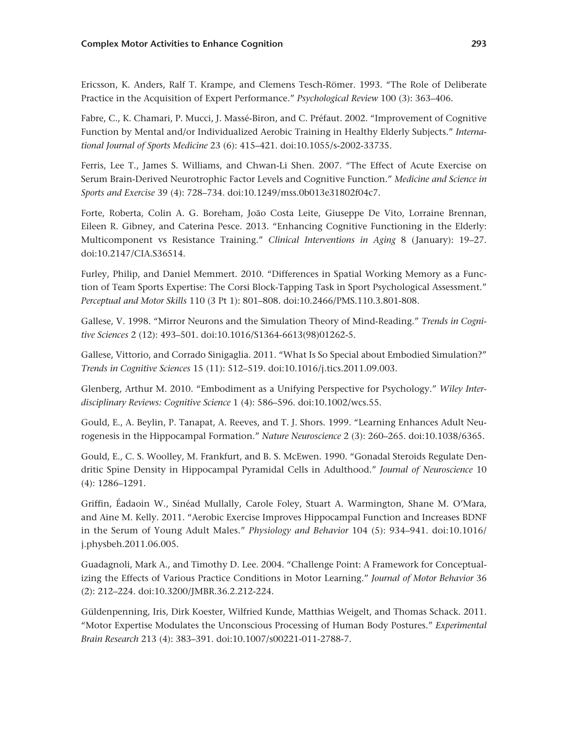Ericsson, K. Anders, Ralf T. Krampe, and Clemens Tesch-Römer. 1993. "The Role of Deliberate Practice in the Acquisition of Expert Performance." *Psychological Review* 100 (3): 363–406.

Fabre, C., K. Chamari, P. Mucci, J. Massé-Biron, and C. Préfaut. 2002. "Improvement of Cognitive Function by Mental and/or Individualized Aerobic Training in Healthy Elderly Subjects." *International Journal of Sports Medicine* 23 (6): 415–421. doi:10.1055/s-2002-33735.

Ferris, Lee T., James S. Williams, and Chwan-Li Shen. 2007. "The Effect of Acute Exercise on Serum Brain-Derived Neurotrophic Factor Levels and Cognitive Function." *Medicine and Science in Sports and Exercise* 39 (4): 728–734. doi:10.1249/mss.0b013e31802f04c7.

Forte, Roberta, Colin A. G. Boreham, João Costa Leite, Giuseppe De Vito, Lorraine Brennan, Eileen R. Gibney, and Caterina Pesce. 2013. "Enhancing Cognitive Functioning in the Elderly: Multicomponent vs Resistance Training." *Clinical Interventions in Aging* 8 ( January): 19–27. doi:10.2147/CIA.S36514.

Furley, Philip, and Daniel Memmert. 2010. "Differences in Spatial Working Memory as a Function of Team Sports Expertise: The Corsi Block-Tapping Task in Sport Psychological Assessment." *Perceptual and Motor Skills* 110 (3 Pt 1): 801–808. doi:10.2466/PMS.110.3.801-808.

Gallese, V. 1998. "Mirror Neurons and the Simulation Theory of Mind-Reading." *Trends in Cognitive Sciences* 2 (12): 493–501. doi:10.1016/S1364-6613(98)01262-5.

Gallese, Vittorio, and Corrado Sinigaglia. 2011. "What Is So Special about Embodied Simulation?" *Trends in Cognitive Sciences* 15 (11): 512–519. doi:10.1016/j.tics.2011.09.003.

Glenberg, Arthur M. 2010. "Embodiment as a Unifying Perspective for Psychology." *Wiley Interdisciplinary Reviews: Cognitive Science* 1 (4): 586–596. doi:10.1002/wcs.55.

Gould, E., A. Beylin, P. Tanapat, A. Reeves, and T. J. Shors. 1999. "Learning Enhances Adult Neurogenesis in the Hippocampal Formation." *Nature Neuroscience* 2 (3): 260–265. doi:10.1038/6365.

Gould, E., C. S. Woolley, M. Frankfurt, and B. S. McEwen. 1990. "Gonadal Steroids Regulate Dendritic Spine Density in Hippocampal Pyramidal Cells in Adulthood." *Journal of Neuroscience* 10 (4): 1286–1291.

Griffin, Éadaoin W., Sinéad Mullally, Carole Foley, Stuart A. Warmington, Shane M. O'Mara, and Aine M. Kelly. 2011. "Aerobic Exercise Improves Hippocampal Function and Increases BDNF in the Serum of Young Adult Males." *Physiology and Behavior* 104 (5): 934–941. doi:10.1016/ j.physbeh.2011.06.005.

Guadagnoli, Mark A., and Timothy D. Lee. 2004. "Challenge Point: A Framework for Conceptualizing the Effects of Various Practice Conditions in Motor Learning." *Journal of Motor Behavior* 36 (2): 212–224. doi:10.3200/JMBR.36.2.212-224.

Güldenpenning, Iris, Dirk Koester, Wilfried Kunde, Matthias Weigelt, and Thomas Schack. 2011. "Motor Expertise Modulates the Unconscious Processing of Human Body Postures." *Experimental Brain Research* 213 (4): 383–391. doi:10.1007/s00221-011-2788-7.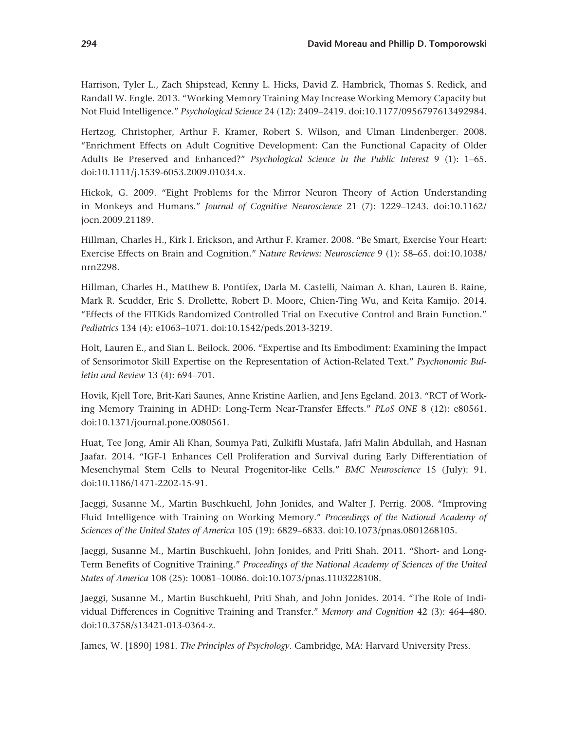Harrison, Tyler L., Zach Shipstead, Kenny L. Hicks, David Z. Hambrick, Thomas S. Redick, and Randall W. Engle. 2013. "Working Memory Training May Increase Working Memory Capacity but Not Fluid Intelligence." *Psychological Science* 24 (12): 2409–2419. doi:10.1177/0956797613492984.

Hertzog, Christopher, Arthur F. Kramer, Robert S. Wilson, and Ulman Lindenberger. 2008. "Enrichment Effects on Adult Cognitive Development: Can the Functional Capacity of Older Adults Be Preserved and Enhanced?" *Psychological Science in the Public Interest* 9 (1): 1–65. doi:10.1111/j.1539-6053.2009.01034.x.

Hickok, G. 2009. "Eight Problems for the Mirror Neuron Theory of Action Understanding in Monkeys and Humans." *Journal of Cognitive Neuroscience* 21 (7): 1229–1243. doi:10.1162/ jocn.2009.21189.

Hillman, Charles H., Kirk I. Erickson, and Arthur F. Kramer. 2008. "Be Smart, Exercise Your Heart: Exercise Effects on Brain and Cognition." *Nature Reviews: Neuroscience* 9 (1): 58–65. doi:10.1038/ nrn2298.

Hillman, Charles H., Matthew B. Pontifex, Darla M. Castelli, Naiman A. Khan, Lauren B. Raine, Mark R. Scudder, Eric S. Drollette, Robert D. Moore, Chien-Ting Wu, and Keita Kamijo. 2014. "Effects of the FITKids Randomized Controlled Trial on Executive Control and Brain Function." *Pediatrics* 134 (4): e1063–1071. doi:10.1542/peds.2013-3219.

Holt, Lauren E., and Sian L. Beilock. 2006. "Expertise and Its Embodiment: Examining the Impact of Sensorimotor Skill Expertise on the Representation of Action-Related Text." *Psychonomic Bulletin and Review* 13 (4): 694–701.

Hovik, Kjell Tore, Brit-Kari Saunes, Anne Kristine Aarlien, and Jens Egeland. 2013. "RCT of Working Memory Training in ADHD: Long-Term Near-Transfer Effects." *PLoS ONE* 8 (12): e80561. doi:10.1371/journal.pone.0080561.

Huat, Tee Jong, Amir Ali Khan, Soumya Pati, Zulkifli Mustafa, Jafri Malin Abdullah, and Hasnan Jaafar. 2014. "IGF-1 Enhances Cell Proliferation and Survival during Early Differentiation of Mesenchymal Stem Cells to Neural Progenitor-like Cells." *BMC Neuroscience* 15 ( July): 91. doi:10.1186/1471-2202-15-91.

Jaeggi, Susanne M., Martin Buschkuehl, John Jonides, and Walter J. Perrig. 2008. "Improving Fluid Intelligence with Training on Working Memory." *Proceedings of the National Academy of Sciences of the United States of America* 105 (19): 6829–6833. doi:10.1073/pnas.0801268105.

Jaeggi, Susanne M., Martin Buschkuehl, John Jonides, and Priti Shah. 2011. "Short- and Long-Term Benefits of Cognitive Training." *Proceedings of the National Academy of Sciences of the United States of America* 108 (25): 10081–10086. doi:10.1073/pnas.1103228108.

Jaeggi, Susanne M., Martin Buschkuehl, Priti Shah, and John Jonides. 2014. "The Role of Individual Differences in Cognitive Training and Transfer." *Memory and Cognition* 42 (3): 464–480. doi:10.3758/s13421-013-0364-z.

James, W. [1890] 1981. *The Principles of Psychology*. Cambridge, MA: Harvard University Press.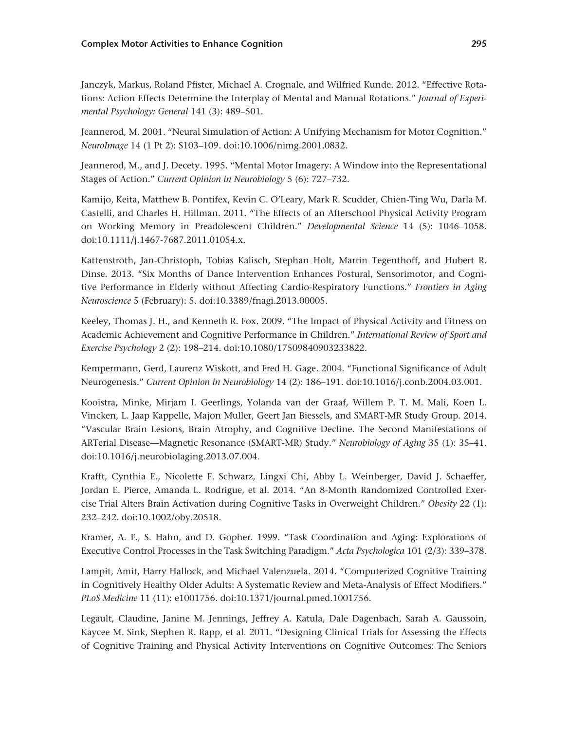Janczyk, Markus, Roland Pfister, Michael A. Crognale, and Wilfried Kunde. 2012. "Effective Rotations: Action Effects Determine the Interplay of Mental and Manual Rotations." *Journal of Experimental Psychology: General* 141 (3): 489–501.

Jeannerod, M. 2001. "Neural Simulation of Action: A Unifying Mechanism for Motor Cognition." *NeuroImage* 14 (1 Pt 2): S103–109. doi:10.1006/nimg.2001.0832.

Jeannerod, M., and J. Decety. 1995. "Mental Motor Imagery: A Window into the Representational Stages of Action." *Current Opinion in Neurobiology* 5 (6): 727–732.

Kamijo, Keita, Matthew B. Pontifex, Kevin C. O'Leary, Mark R. Scudder, Chien-Ting Wu, Darla M. Castelli, and Charles H. Hillman. 2011. "The Effects of an Afterschool Physical Activity Program on Working Memory in Preadolescent Children." *Developmental Science* 14 (5): 1046–1058. doi:10.1111/j.1467-7687.2011.01054.x.

Kattenstroth, Jan-Christoph, Tobias Kalisch, Stephan Holt, Martin Tegenthoff, and Hubert R. Dinse. 2013. "Six Months of Dance Intervention Enhances Postural, Sensorimotor, and Cognitive Performance in Elderly without Affecting Cardio-Respiratory Functions." *Frontiers in Aging Neuroscience* 5 (February): 5. doi:10.3389/fnagi.2013.00005.

Keeley, Thomas J. H., and Kenneth R. Fox. 2009. "The Impact of Physical Activity and Fitness on Academic Achievement and Cognitive Performance in Children." *International Review of Sport and Exercise Psychology* 2 (2): 198–214. doi:10.1080/17509840903233822.

Kempermann, Gerd, Laurenz Wiskott, and Fred H. Gage. 2004. "Functional Significance of Adult Neurogenesis." *Current Opinion in Neurobiology* 14 (2): 186–191. doi:10.1016/j.conb.2004.03.001.

Kooistra, Minke, Mirjam I. Geerlings, Yolanda van der Graaf, Willem P. T. M. Mali, Koen L. Vincken, L. Jaap Kappelle, Majon Muller, Geert Jan Biessels, and SMART-MR Study Group. 2014. "Vascular Brain Lesions, Brain Atrophy, and Cognitive Decline. The Second Manifestations of ARTerial Disease—Magnetic Resonance (SMART-MR) Study." *Neurobiology of Aging* 35 (1): 35–41. doi:10.1016/j.neurobiolaging.2013.07.004.

Krafft, Cynthia E., Nicolette F. Schwarz, Lingxi Chi, Abby L. Weinberger, David J. Schaeffer, Jordan E. Pierce, Amanda L. Rodrigue, et al. 2014. "An 8-Month Randomized Controlled Exercise Trial Alters Brain Activation during Cognitive Tasks in Overweight Children." *Obesity* 22 (1): 232–242. doi:10.1002/oby.20518.

Kramer, A. F., S. Hahn, and D. Gopher. 1999. "Task Coordination and Aging: Explorations of Executive Control Processes in the Task Switching Paradigm." *Acta Psychologica* 101 (2/3): 339–378.

Lampit, Amit, Harry Hallock, and Michael Valenzuela. 2014. "Computerized Cognitive Training in Cognitively Healthy Older Adults: A Systematic Review and Meta-Analysis of Effect Modifiers." *PLoS Medicine* 11 (11): e1001756. doi:10.1371/journal.pmed.1001756.

Legault, Claudine, Janine M. Jennings, Jeffrey A. Katula, Dale Dagenbach, Sarah A. Gaussoin, Kaycee M. Sink, Stephen R. Rapp, et al. 2011. "Designing Clinical Trials for Assessing the Effects of Cognitive Training and Physical Activity Interventions on Cognitive Outcomes: The Seniors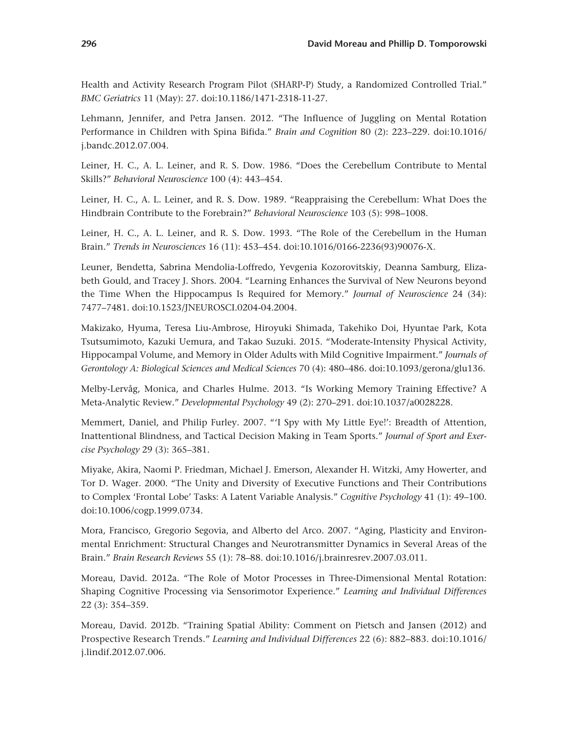Health and Activity Research Program Pilot (SHARP-P) Study, a Randomized Controlled Trial." *BMC Geriatrics* 11 (May): 27. doi:10.1186/1471-2318-11-27.

Lehmann, Jennifer, and Petra Jansen. 2012. "The Influence of Juggling on Mental Rotation Performance in Children with Spina Bifida." *Brain and Cognition* 80 (2): 223–229. doi:10.1016/ j.bandc.2012.07.004.

Leiner, H. C., A. L. Leiner, and R. S. Dow. 1986. "Does the Cerebellum Contribute to Mental Skills?" *Behavioral Neuroscience* 100 (4): 443–454.

Leiner, H. C., A. L. Leiner, and R. S. Dow. 1989. "Reappraising the Cerebellum: What Does the Hindbrain Contribute to the Forebrain?" *Behavioral Neuroscience* 103 (5): 998–1008.

Leiner, H. C., A. L. Leiner, and R. S. Dow. 1993. "The Role of the Cerebellum in the Human Brain." *Trends in Neurosciences* 16 (11): 453–454. doi:10.1016/0166-2236(93)90076-X.

Leuner, Bendetta, Sabrina Mendolia-Loffredo, Yevgenia Kozorovitskiy, Deanna Samburg, Elizabeth Gould, and Tracey J. Shors. 2004. "Learning Enhances the Survival of New Neurons beyond the Time When the Hippocampus Is Required for Memory." *Journal of Neuroscience* 24 (34): 7477–7481. doi:10.1523/JNEUROSCI.0204-04.2004.

Makizako, Hyuma, Teresa Liu-Ambrose, Hiroyuki Shimada, Takehiko Doi, Hyuntae Park, Kota Tsutsumimoto, Kazuki Uemura, and Takao Suzuki. 2015. "Moderate-Intensity Physical Activity, Hippocampal Volume, and Memory in Older Adults with Mild Cognitive Impairment." *Journals of Gerontology A: Biological Sciences and Medical Sciences* 70 (4): 480–486. doi:10.1093/gerona/glu136.

Melby-Lervåg, Monica, and Charles Hulme. 2013. "Is Working Memory Training Effective? A Meta-Analytic Review." *Developmental Psychology* 49 (2): 270–291. doi:10.1037/a0028228.

Memmert, Daniel, and Philip Furley. 2007. "'I Spy with My Little Eye!': Breadth of Attention, Inattentional Blindness, and Tactical Decision Making in Team Sports." *Journal of Sport and Exercise Psychology* 29 (3): 365–381.

Miyake, Akira, Naomi P. Friedman, Michael J. Emerson, Alexander H. Witzki, Amy Howerter, and Tor D. Wager. 2000. "The Unity and Diversity of Executive Functions and Their Contributions to Complex 'Frontal Lobe' Tasks: A Latent Variable Analysis." *Cognitive Psychology* 41 (1): 49–100. doi:10.1006/cogp.1999.0734.

Mora, Francisco, Gregorio Segovia, and Alberto del Arco. 2007. "Aging, Plasticity and Environmental Enrichment: Structural Changes and Neurotransmitter Dynamics in Several Areas of the Brain." *Brain Research Reviews* 55 (1): 78–88. doi:10.1016/j.brainresrev.2007.03.011.

Moreau, David. 2012a. "The Role of Motor Processes in Three-Dimensional Mental Rotation: Shaping Cognitive Processing via Sensorimotor Experience." *Learning and Individual Differences* 22 (3): 354–359.

Moreau, David. 2012b. "Training Spatial Ability: Comment on Pietsch and Jansen (2012) and Prospective Research Trends." *Learning and Individual Differences* 22 (6): 882–883. doi:10.1016/ j.lindif.2012.07.006.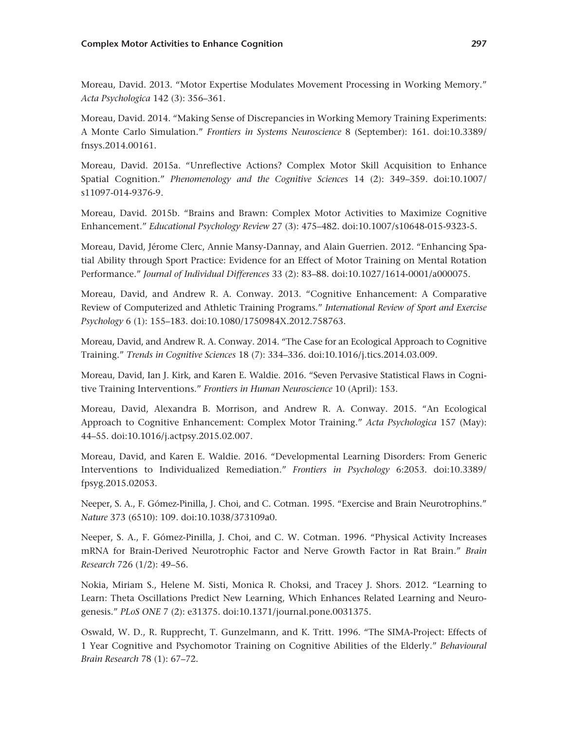Moreau, David. 2013. "Motor Expertise Modulates Movement Processing in Working Memory." *Acta Psychologica* 142 (3): 356–361.

Moreau, David. 2014. "Making Sense of Discrepancies in Working Memory Training Experiments: A Monte Carlo Simulation." *Frontiers in Systems Neuroscience* 8 (September): 161. doi:10.3389/ fnsys.2014.00161.

Moreau, David. 2015a. "Unreflective Actions? Complex Motor Skill Acquisition to Enhance Spatial Cognition." *Phenomenology and the Cognitive Sciences* 14 (2): 349–359. doi:10.1007/ s11097-014-9376-9.

Moreau, David. 2015b. "Brains and Brawn: Complex Motor Activities to Maximize Cognitive Enhancement." *Educational Psychology Review* 27 (3): 475–482. doi:10.1007/s10648-015-9323-5.

Moreau, David, Jérome Clerc, Annie Mansy-Dannay, and Alain Guerrien. 2012. "Enhancing Spatial Ability through Sport Practice: Evidence for an Effect of Motor Training on Mental Rotation Performance." *Journal of Individual Differences* 33 (2): 83–88. doi:10.1027/1614-0001/a000075.

Moreau, David, and Andrew R. A. Conway. 2013. "Cognitive Enhancement: A Comparative Review of Computerized and Athletic Training Programs." *International Review of Sport and Exercise Psychology* 6 (1): 155–183. doi:10.1080/1750984X.2012.758763.

Moreau, David, and Andrew R. A. Conway. 2014. "The Case for an Ecological Approach to Cognitive Training." *Trends in Cognitive Sciences* 18 (7): 334–336. doi:10.1016/j.tics.2014.03.009.

Moreau, David, Ian J. Kirk, and Karen E. Waldie. 2016. "Seven Pervasive Statistical Flaws in Cognitive Training Interventions." *Frontiers in Human Neuroscience* 10 (April): 153.

Moreau, David, Alexandra B. Morrison, and Andrew R. A. Conway. 2015. "An Ecological Approach to Cognitive Enhancement: Complex Motor Training." *Acta Psychologica* 157 (May): 44–55. doi:10.1016/j.actpsy.2015.02.007.

Moreau, David, and Karen E. Waldie. 2016. "Developmental Learning Disorders: From Generic Interventions to Individualized Remediation." *Frontiers in Psychology* 6:2053. doi:10.3389/ fpsyg.2015.02053.

Neeper, S. A., F. Gómez-Pinilla, J. Choi, and C. Cotman. 1995. "Exercise and Brain Neurotrophins." *Nature* 373 (6510): 109. doi:10.1038/373109a0.

Neeper, S. A., F. Gómez-Pinilla, J. Choi, and C. W. Cotman. 1996. "Physical Activity Increases mRNA for Brain-Derived Neurotrophic Factor and Nerve Growth Factor in Rat Brain." *Brain Research* 726 (1/2): 49–56.

Nokia, Miriam S., Helene M. Sisti, Monica R. Choksi, and Tracey J. Shors. 2012. "Learning to Learn: Theta Oscillations Predict New Learning, Which Enhances Related Learning and Neurogenesis." *PLoS ONE* 7 (2): e31375. doi:10.1371/journal.pone.0031375.

Oswald, W. D., R. Rupprecht, T. Gunzelmann, and K. Tritt. 1996. "The SIMA-Project: Effects of 1 Year Cognitive and Psychomotor Training on Cognitive Abilities of the Elderly." *Behavioural Brain Research* 78 (1): 67–72.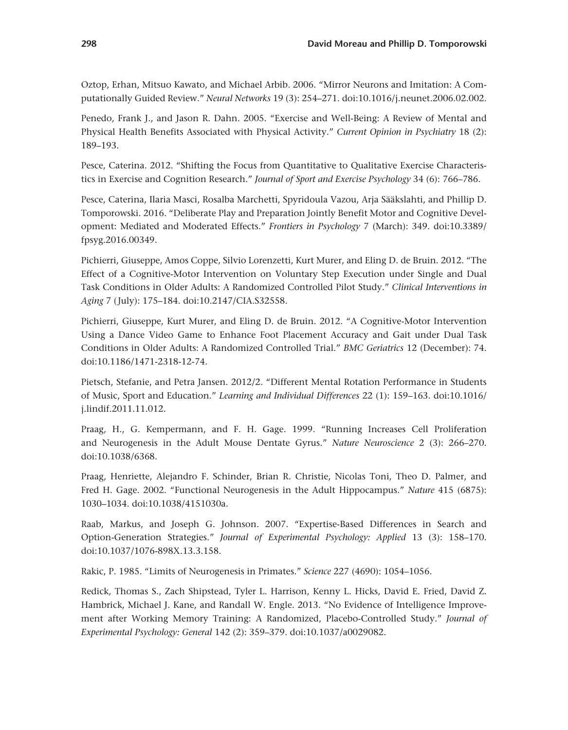Oztop, Erhan, Mitsuo Kawato, and Michael Arbib. 2006. "Mirror Neurons and Imitation: A Computationally Guided Review." *Neural Networks* 19 (3): 254–271. doi:10.1016/j.neunet.2006.02.002.

Penedo, Frank J., and Jason R. Dahn. 2005. "Exercise and Well-Being: A Review of Mental and Physical Health Benefits Associated with Physical Activity." *Current Opinion in Psychiatry* 18 (2): 189–193.

Pesce, Caterina. 2012. "Shifting the Focus from Quantitative to Qualitative Exercise Characteristics in Exercise and Cognition Research." *Journal of Sport and Exercise Psychology* 34 (6): 766–786.

Pesce, Caterina, Ilaria Masci, Rosalba Marchetti, Spyridoula Vazou, Arja Sääkslahti, and Phillip D. Tomporowski. 2016. "Deliberate Play and Preparation Jointly Benefit Motor and Cognitive Development: Mediated and Moderated Effects." *Frontiers in Psychology* 7 (March): 349. doi:10.3389/ fpsyg.2016.00349.

Pichierri, Giuseppe, Amos Coppe, Silvio Lorenzetti, Kurt Murer, and Eling D. de Bruin. 2012. "The Effect of a Cognitive-Motor Intervention on Voluntary Step Execution under Single and Dual Task Conditions in Older Adults: A Randomized Controlled Pilot Study." *Clinical Interventions in Aging* 7 ( July): 175–184. doi:10.2147/CIA.S32558.

Pichierri, Giuseppe, Kurt Murer, and Eling D. de Bruin. 2012. "A Cognitive-Motor Intervention Using a Dance Video Game to Enhance Foot Placement Accuracy and Gait under Dual Task Conditions in Older Adults: A Randomized Controlled Trial." *BMC Geriatrics* 12 (December): 74. doi:10.1186/1471-2318-12-74.

Pietsch, Stefanie, and Petra Jansen. 2012/2. "Different Mental Rotation Performance in Students of Music, Sport and Education." *Learning and Individual Differences* 22 (1): 159–163. doi:10.1016/ j.lindif.2011.11.012.

Praag, H., G. Kempermann, and F. H. Gage. 1999. "Running Increases Cell Proliferation and Neurogenesis in the Adult Mouse Dentate Gyrus." *Nature Neuroscience* 2 (3): 266–270. doi:10.1038/6368.

Praag, Henriette, Alejandro F. Schinder, Brian R. Christie, Nicolas Toni, Theo D. Palmer, and Fred H. Gage. 2002. "Functional Neurogenesis in the Adult Hippocampus." *Nature* 415 (6875): 1030–1034. doi:10.1038/4151030a.

Raab, Markus, and Joseph G. Johnson. 2007. "Expertise-Based Differences in Search and Option-Generation Strategies." *Journal of Experimental Psychology: Applied* 13 (3): 158–170. doi:10.1037/1076-898X.13.3.158.

Rakic, P. 1985. "Limits of Neurogenesis in Primates." *Science* 227 (4690): 1054–1056.

Redick, Thomas S., Zach Shipstead, Tyler L. Harrison, Kenny L. Hicks, David E. Fried, David Z. Hambrick, Michael J. Kane, and Randall W. Engle. 2013. "No Evidence of Intelligence Improvement after Working Memory Training: A Randomized, Placebo-Controlled Study." *Journal of Experimental Psychology: General* 142 (2): 359–379. doi:10.1037/a0029082.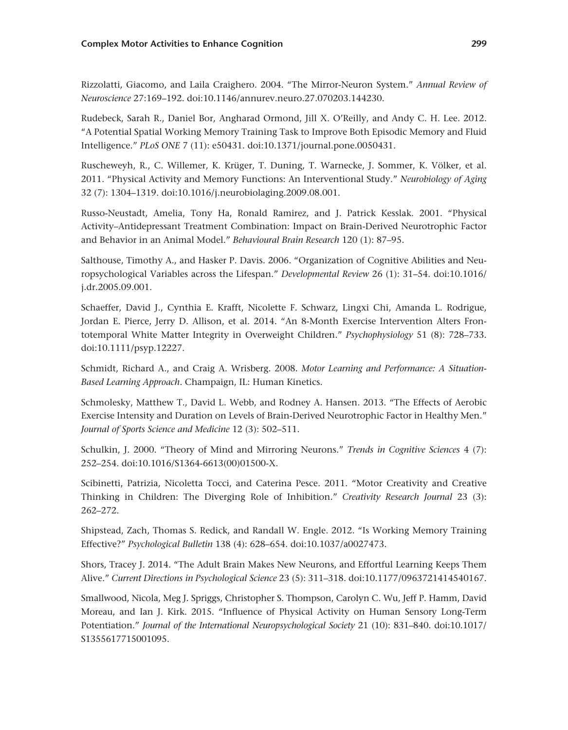Rizzolatti, Giacomo, and Laila Craighero. 2004. "The Mirror-Neuron System." *Annual Review of Neuroscience* 27:169–192. doi:10.1146/annurev.neuro.27.070203.144230.

Rudebeck, Sarah R., Daniel Bor, Angharad Ormond, Jill X. O'Reilly, and Andy C. H. Lee. 2012. "A Potential Spatial Working Memory Training Task to Improve Both Episodic Memory and Fluid Intelligence." *PLoS ONE* 7 (11): e50431. doi:10.1371/journal.pone.0050431.

Ruscheweyh, R., C. Willemer, K. Krüger, T. Duning, T. Warnecke, J. Sommer, K. Völker, et al. 2011. "Physical Activity and Memory Functions: An Interventional Study." *Neurobiology of Aging* 32 (7): 1304–1319. doi:10.1016/j.neurobiolaging.2009.08.001.

Russo-Neustadt, Amelia, Tony Ha, Ronald Ramirez, and J. Patrick Kesslak. 2001. "Physical Activity–Antidepressant Treatment Combination: Impact on Brain-Derived Neurotrophic Factor and Behavior in an Animal Model." *Behavioural Brain Research* 120 (1): 87–95.

Salthouse, Timothy A., and Hasker P. Davis. 2006. "Organization of Cognitive Abilities and Neuropsychological Variables across the Lifespan." *Developmental Review* 26 (1): 31–54. doi:10.1016/ j.dr.2005.09.001.

Schaeffer, David J., Cynthia E. Krafft, Nicolette F. Schwarz, Lingxi Chi, Amanda L. Rodrigue, Jordan E. Pierce, Jerry D. Allison, et al. 2014. "An 8-Month Exercise Intervention Alters Frontotemporal White Matter Integrity in Overweight Children." *Psychophysiology* 51 (8): 728–733. doi:10.1111/psyp.12227.

Schmidt, Richard A., and Craig A. Wrisberg. 2008. *Motor Learning and Performance: A Situation-Based Learning Approach*. Champaign, IL: Human Kinetics.

Schmolesky, Matthew T., David L. Webb, and Rodney A. Hansen. 2013. "The Effects of Aerobic Exercise Intensity and Duration on Levels of Brain-Derived Neurotrophic Factor in Healthy Men." *Journal of Sports Science and Medicine* 12 (3): 502–511.

Schulkin, J. 2000. "Theory of Mind and Mirroring Neurons." *Trends in Cognitive Sciences* 4 (7): 252–254. doi:10.1016/S1364-6613(00)01500-X.

Scibinetti, Patrizia, Nicoletta Tocci, and Caterina Pesce. 2011. "Motor Creativity and Creative Thinking in Children: The Diverging Role of Inhibition." *Creativity Research Journal* 23 (3): 262–272.

Shipstead, Zach, Thomas S. Redick, and Randall W. Engle. 2012. "Is Working Memory Training Effective?" *Psychological Bulletin* 138 (4): 628–654. doi:10.1037/a0027473.

Shors, Tracey J. 2014. "The Adult Brain Makes New Neurons, and Effortful Learning Keeps Them Alive." *Current Directions in Psychological Science* 23 (5): 311–318. doi:10.1177/0963721414540167.

Smallwood, Nicola, Meg J. Spriggs, Christopher S. Thompson, Carolyn C. Wu, Jeff P. Hamm, David Moreau, and Ian J. Kirk. 2015. "Influence of Physical Activity on Human Sensory Long-Term Potentiation." *Journal of the International Neuropsychological Society* 21 (10): 831–840. doi:10.1017/ S1355617715001095.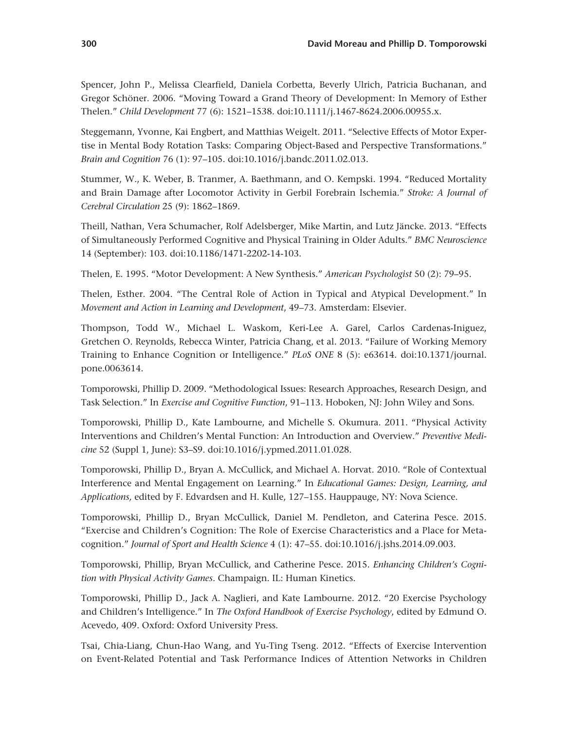Spencer, John P., Melissa Clearfield, Daniela Corbetta, Beverly Ulrich, Patricia Buchanan, and Gregor Schöner. 2006. "Moving Toward a Grand Theory of Development: In Memory of Esther Thelen." *Child Development* 77 (6): 1521–1538. doi:10.1111/j.1467-8624.2006.00955.x.

Steggemann, Yvonne, Kai Engbert, and Matthias Weigelt. 2011. "Selective Effects of Motor Expertise in Mental Body Rotation Tasks: Comparing Object-Based and Perspective Transformations." *Brain and Cognition* 76 (1): 97–105. doi:10.1016/j.bandc.2011.02.013.

Stummer, W., K. Weber, B. Tranmer, A. Baethmann, and O. Kempski. 1994. "Reduced Mortality and Brain Damage after Locomotor Activity in Gerbil Forebrain Ischemia." *Stroke: A Journal of Cerebral Circulation* 25 (9): 1862–1869.

Theill, Nathan, Vera Schumacher, Rolf Adelsberger, Mike Martin, and Lutz Jäncke. 2013. "Effects of Simultaneously Performed Cognitive and Physical Training in Older Adults." *BMC Neuroscience* 14 (September): 103. doi:10.1186/1471-2202-14-103.

Thelen, E. 1995. "Motor Development: A New Synthesis." *American Psychologist* 50 (2): 79–95.

Thelen, Esther. 2004. "The Central Role of Action in Typical and Atypical Development." In *Movement and Action in Learning and Development*, 49–73. Amsterdam: Elsevier.

Thompson, Todd W., Michael L. Waskom, Keri-Lee A. Garel, Carlos Cardenas-Iniguez, Gretchen O. Reynolds, Rebecca Winter, Patricia Chang, et al. 2013. "Failure of Working Memory Training to Enhance Cognition or Intelligence." *PLoS ONE* 8 (5): e63614. doi:10.1371/journal. pone.0063614.

Tomporowski, Phillip D. 2009. "Methodological Issues: Research Approaches, Research Design, and Task Selection." In *Exercise and Cognitive Function*, 91–113. Hoboken, NJ: John Wiley and Sons.

Tomporowski, Phillip D., Kate Lambourne, and Michelle S. Okumura. 2011. "Physical Activity Interventions and Children's Mental Function: An Introduction and Overview." *Preventive Medicine* 52 (Suppl 1, June): S3–S9. doi:10.1016/j.ypmed.2011.01.028.

Tomporowski, Phillip D., Bryan A. McCullick, and Michael A. Horvat. 2010. "Role of Contextual Interference and Mental Engagement on Learning." In *Educational Games: Design, Learning, and Applications,* edited by F. Edvardsen and H. Kulle, 127–155. Hauppauge, NY: Nova Science.

Tomporowski, Phillip D., Bryan McCullick, Daniel M. Pendleton, and Caterina Pesce. 2015. "Exercise and Children's Cognition: The Role of Exercise Characteristics and a Place for Metacognition." *Journal of Sport and Health Science* 4 (1): 47–55. doi:10.1016/j.jshs.2014.09.003.

Tomporowski, Phillip, Bryan McCullick, and Catherine Pesce. 2015. *Enhancing Children's Cognition with Physical Activity Games*. Champaign. IL: Human Kinetics.

Tomporowski, Phillip D., Jack A. Naglieri, and Kate Lambourne. 2012. "20 Exercise Psychology and Children's Intelligence." In *The Oxford Handbook of Exercise Psychology*, edited by Edmund O. Acevedo, 409. Oxford: Oxford University Press.

Tsai, Chia-Liang, Chun-Hao Wang, and Yu-Ting Tseng. 2012. "Effects of Exercise Intervention on Event-Related Potential and Task Performance Indices of Attention Networks in Children